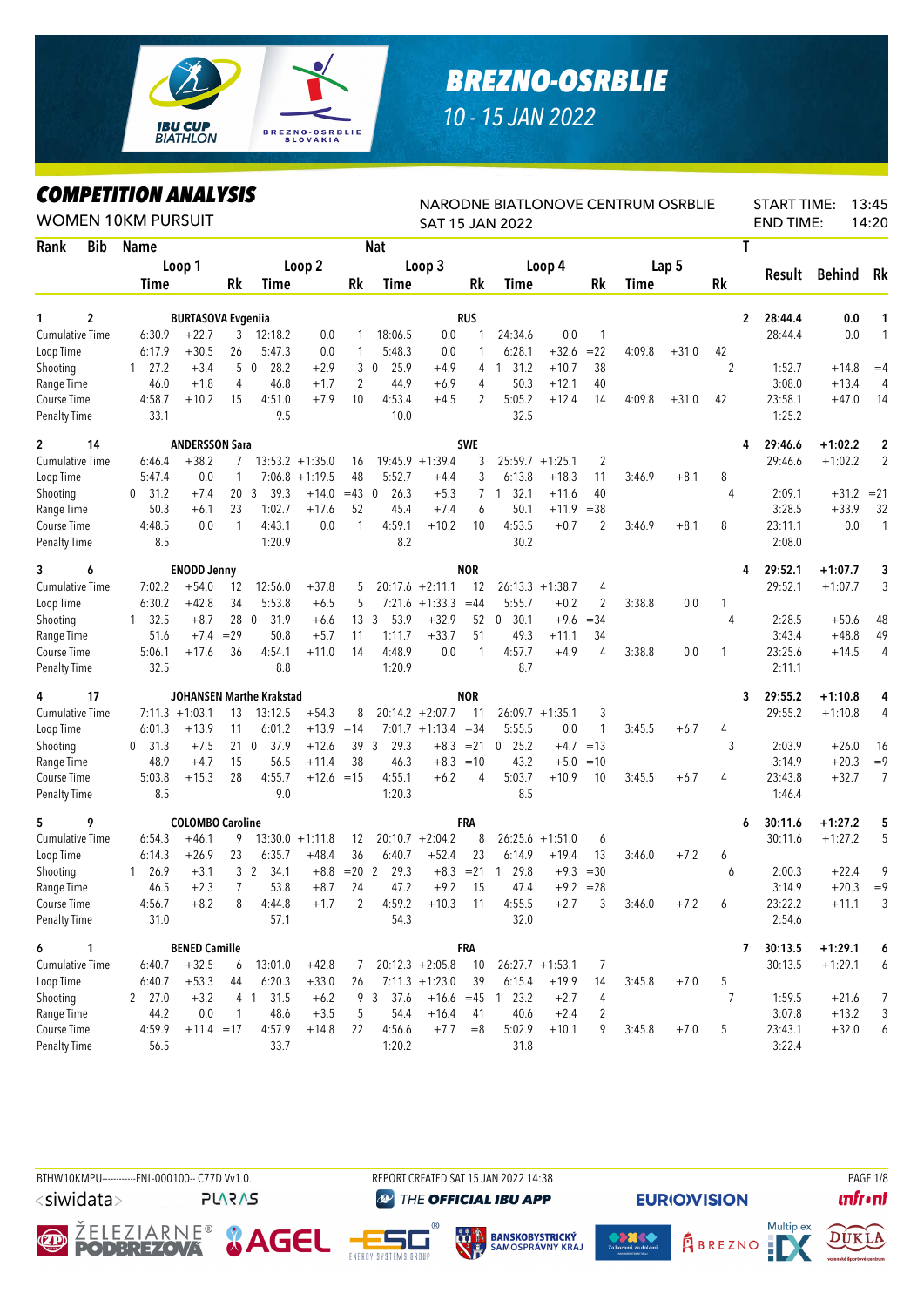

## *BREZNO-OSRBLIE*

*10 - 15 JAN 2022*

## *COMPETITION ANALYSIS*

| <i><b>COMPEILION ANALYSIS</b></i><br><b>WOMEN 10KM PURSUIT</b> |                      |                           |                 |                                 |                    |               |                        |                       |                | NARODNE BIATLONOVE CENTRUM OSRBLIE<br><b>SAT 15 JAN 2022</b> |                    |             |             |         |    | <b>START TIME:</b><br><b>END TIME:</b> |           | 13:45<br>14:20 |
|----------------------------------------------------------------|----------------------|---------------------------|-----------------|---------------------------------|--------------------|---------------|------------------------|-----------------------|----------------|--------------------------------------------------------------|--------------------|-------------|-------------|---------|----|----------------------------------------|-----------|----------------|
| Rank<br>Bib                                                    | Name                 |                           |                 |                                 |                    |               | <b>Nat</b>             |                       |                |                                                              |                    |             |             |         |    | Τ                                      |           |                |
|                                                                |                      | Loop 1                    |                 |                                 | Loop 2             |               |                        | Loop 3                |                |                                                              | Loop 4             |             |             | Lap 5   |    |                                        |           |                |
|                                                                | Time                 |                           | <b>Rk</b>       | Time                            |                    | Rk            | Time                   |                       | Rk             | Time                                                         |                    | Rk          | <b>Time</b> |         | Rk | Result                                 | Behind    | Rk             |
| $\overline{c}$<br>1                                            |                      | <b>BURTASOVA Evgenija</b> |                 |                                 |                    |               |                        |                       | <b>RUS</b>     |                                                              |                    |             |             |         |    | $\overline{2}$<br>28:44.4              | 0.0       | 1              |
| <b>Cumulative Time</b>                                         | 6:30.9               | $+22.7$                   | 3               | 12:18.2                         | 0.0                |               | 18:06.5                | 0.0                   |                | 24:34.6                                                      | 0.0                | 1           |             |         |    | 28:44.4                                | 0.0       | 1              |
| Loop Time                                                      | 6:17.9               | $+30.5$                   | 26              | 5:47.3                          | 0.0                | 1             | 5:48.3                 | 0.0                   |                | 6:28.1                                                       | $+32.6$            | $= 22$      | 4:09.8      | $+31.0$ | 42 |                                        |           |                |
| Shooting                                                       | 27.2<br>$\mathbf{1}$ | $+3.4$                    |                 | 5 0<br>28.2                     | $+2.9$             |               | 3 <sub>0</sub><br>25.9 | $+4.9$                | 4              | 31.2<br>1                                                    | $+10.7$            | 38          |             |         | 2  | 1:52.7                                 | $+14.8$   | $=4$           |
| Range Time                                                     | 46.0                 | $+1.8$                    | 4               | 46.8                            | $+1.7$             | 2             | 44.9                   | $+6.9$                | 4              | 50.3                                                         | $+12.1$            | 40          |             |         |    | 3:08.0                                 | $+13.4$   | 4              |
| Course Time                                                    | 4:58.7               | $+10.2$                   | 15              | 4:51.0                          | $+7.9$             | 10            | 4:53.4                 | $+4.5$                | $\overline{c}$ | 5:05.2                                                       | $+12.4$            | 14          | 4:09.8      | $+31.0$ | 42 | 23:58.1                                | $+47.0$   | 14             |
| <b>Penalty Time</b>                                            | 33.1                 |                           |                 | 9.5                             |                    |               | 10.0                   |                       |                | 32.5                                                         |                    |             |             |         |    | 1:25.2                                 |           |                |
| $\mathbf{2}$<br>14                                             |                      | <b>ANDERSSON Sara</b>     |                 |                                 |                    |               |                        |                       | <b>SWE</b>     |                                                              |                    |             |             |         |    | 29:46.6<br>4                           | $+1:02.2$ | $\mathbf{2}$   |
| <b>Cumulative Time</b>                                         | 6:46.4               | $+38.2$                   | 7               |                                 | $13:53.2 +1:35.0$  | 16            |                        | $19:45.9 + 1:39.4$    | 3              |                                                              | $25:59.7 + 1:25.1$ | 2           |             |         |    | 29:46.6                                | $+1:02.2$ | $\overline{2}$ |
| Loop Time                                                      | 5:47.4               | 0.0                       | $\mathbf{1}$    |                                 | $7:06.8 +1:19.5$   | 48            | 5:52.7                 | $+4.4$                | 3              | 6:13.8                                                       | $+18.3$            | 11          | 3:46.9      | $+8.1$  | 8  |                                        |           |                |
| Shooting                                                       | 31.2<br>0            | $+7.4$                    | 20 <sub>3</sub> | 39.3                            | $+14.0$            | $=43$ 0       | 26.3                   | $+5.3$                |                | $7 \t1 \t32.1$                                               | $+11.6$            | 40          |             |         | 4  | 2:09.1                                 | $+31.2$   | $= 21$         |
| Range Time                                                     | 50.3                 | $+6.1$                    | 23              | 1:02.7                          | $+17.6$            | 52            | 45.4                   | $+7.4$                | 6              | 50.1                                                         | $+11.9$            | $=38$       |             |         |    | 3:28.5                                 | $+33.9$   | 32             |
| Course Time                                                    | 4:48.5               | 0.0                       | $\mathbf{1}$    | 4:43.1                          | 0.0                | $\mathbf{1}$  | 4:59.1                 | $+10.2$               | 10             | 4:53.5                                                       | $+0.7$             | 2           | 3:46.9      | $+8.1$  | 8  | 23:11.1                                | 0.0       | $\mathbf{1}$   |
| <b>Penalty Time</b>                                            | 8.5                  |                           |                 | 1:20.9                          |                    |               | 8.2                    |                       |                | 30.2                                                         |                    |             |             |         |    | 2:08.0                                 |           |                |
| 6<br>3                                                         |                      | <b>ENODD Jenny</b>        |                 |                                 |                    |               |                        |                       | <b>NOR</b>     |                                                              |                    |             |             |         |    | 29:52.1<br>4                           | $+1:07.7$ | 3              |
| <b>Cumulative Time</b>                                         | 7:02.2               | $+54.0$                   | 12              | 12:56.0                         | $+37.8$            | 5             |                        | $20:17.6 +2:11.1$     | 12             |                                                              | $26:13.3 + 1:38.7$ | 4           |             |         |    | 29:52.1                                | $+1:07.7$ | 3              |
| Loop Time                                                      | 6:30.2               | $+42.8$                   | 34              | 5:53.8                          | $+6.5$             | 5             | 7:21.6                 | $+1:33.3$             | $=44$          | 5:55.7                                                       | $+0.2$             | 2           | 3:38.8      | 0.0     | 1  |                                        |           |                |
| Shooting                                                       | 32.5<br>1            | $+8.7$                    | 28 0            | 31.9                            | $+6.6$             | 13            | 3<br>53.9              | $+32.9$               | 52             | 30.1<br>$\mathbf 0$                                          | $+9.6$             | $= 34$      |             |         | 4  | 2:28.5                                 | $+50.6$   | 48             |
| Range Time                                                     | 51.6                 | $+7.4$                    | $=29$           | 50.8                            | $+5.7$             | 11            | 1:11.7                 | $+33.7$               | 51             | 49.3                                                         | $+11.1$            | 34          |             |         |    | 3:43.4                                 | $+48.8$   | 49             |
| Course Time                                                    | 5:06.1               | $+17.6$                   | 36              | 4:54.1                          | $+11.0$            | 14            | 4:48.9                 | 0.0                   | 1              | 4:57.7                                                       | $+4.9$             | 4           | 3:38.8      | 0.0     | 1  | 23:25.6                                | $+14.5$   | 4              |
| <b>Penalty Time</b>                                            | 32.5                 |                           |                 | 8.8                             |                    |               | 1:20.9                 |                       |                | 8.7                                                          |                    |             |             |         |    | 2:11.1                                 |           |                |
| 17<br>4                                                        |                      |                           |                 | <b>JOHANSEN Marthe Krakstad</b> |                    |               |                        |                       | <b>NOR</b>     |                                                              |                    |             |             |         |    | 29:55.2<br>3                           | $+1:10.8$ | 4              |
| <b>Cumulative Time</b>                                         |                      | $7:11.3 +1:03.1$          | 13              | 13:12.5                         | $+54.3$            | 8             |                        | $20:14.2 + 2:07.7$    | 11             |                                                              | $26:09.7 +1:35.1$  | 3           |             |         |    | 29:55.2                                | $+1:10.8$ | 4              |
| Loop Time                                                      | 6:01.3               | $+13.9$                   | 11              | 6:01.2                          | $+13.9$            | $=14$         |                        | $7:01.7 +1:13.4 = 34$ |                | 5:55.5                                                       | 0.0                | 1           | 3:45.5      | $+6.7$  | 4  |                                        |           |                |
| Shooting                                                       | 0, 31.3              | $+7.5$                    |                 | 21 <sub>0</sub><br>- 37.9       | $+12.6$            |               | 39 3<br>29.3           |                       | $+8.3 = 21$    | $0$ 25.2                                                     |                    | $+4.7 = 13$ |             |         | 3  | 2:03.9                                 | $+26.0$   | 16             |
| Range Time                                                     | 48.9                 | $+4.7$                    | 15              | 56.5                            | $+11.4$            | 38            | 46.3                   |                       | $+8.3 = 10$    | 43.2                                                         | $+5.0$             | $=10$       |             |         |    | 3:14.9                                 | $+20.3$   | $=9$           |
| Course Time                                                    | 5:03.8               | $+15.3$                   | 28              | 4:55.7                          | $+12.6 = 15$       |               | 4:55.1                 | $+6.2$                | 4              | 5:03.7                                                       | $+10.9$            | 10          | 3:45.5      | $+6.7$  | 4  | 23:43.8                                | $+32.7$   | $\overline{7}$ |
| <b>Penalty Time</b>                                            | 8.5                  |                           |                 | 9.0                             |                    |               | 1:20.3                 |                       |                | 8.5                                                          |                    |             |             |         |    | 1:46.4                                 |           |                |
| 9<br>5                                                         |                      | <b>COLOMBO Caroline</b>   |                 |                                 |                    |               |                        |                       | <b>FRA</b>     |                                                              |                    |             |             |         |    | 30:11.6<br>6                           | $+1:27.2$ | 5              |
| Cumulative Time                                                | 6:54.3               | $+46.1$                   | 9               |                                 | $13:30.0 + 1:11.8$ | 12            |                        | $20:10.7 + 2:04.2$    | 8              |                                                              | $26:25.6 + 1:51.0$ | 6           |             |         |    | 30:11.6                                | $+1:27.2$ | 5              |
| Loop Time                                                      | 6:14.3               | $+26.9$                   | 23              | 6:35.7                          | $+48.4$            | 36            | 6:40.7                 | $+52.4$               | 23             | 6:14.9                                                       | $+19.4$            | 13          | 3:46.0      | $+7.2$  | 6  |                                        |           |                |
| Shooting                                                       | 26.9<br>1            | $+3.1$                    |                 | 3 <sup>2</sup><br>34.1          |                    | $+8.8 = 20$ 2 | 29.3                   |                       | $+8.3 = 21$    | 29.8<br>$\overline{1}$                                       | $+9.3$             | $=30$       |             |         | 6  | 2:00.3                                 | $+22.4$   | 9              |
| Range Time                                                     | 46.5                 | $+2.3$                    | $7^{\circ}$     | 53.8                            | $+8.7$             | 24            | 47.2                   | $+9.2$                | 15             | 47.4                                                         |                    | $+9.2 = 28$ |             |         |    | 3:14.9                                 | $+20.3$   | $=9$           |
| Course Time                                                    | 4:56.7               | $+8.2$                    | 8               | 4:44.8                          | $+1.7$             | 2             | 4:59.2                 | $+10.3$               | 11             | 4:55.5                                                       | $+2.7$             | 3           | 3:46.0      | $+7.2$  | 6  | 23:22.2                                | $+11.1$   | 3              |
| Penalty Time                                                   | 31.0                 |                           |                 | 57.1                            |                    |               | 54.3                   |                       |                | 32.0                                                         |                    |             |             |         |    | 2:54.6                                 |           |                |
| 6<br>$\mathbf{1}$                                              |                      | <b>BENED Camille</b>      |                 |                                 |                    |               |                        |                       | <b>FRA</b>     |                                                              |                    |             |             |         |    | 30:13.5<br>7                           | $+1:29.1$ | 6              |
| Cumulative Time                                                | 6:40.7               | $+32.5$                   | 6               | 13:01.0                         | $+42.8$            | 7             |                        | $20:12.3 + 2:05.8$    | 10             |                                                              | $26:27.7 +1:53.1$  | 7           |             |         |    | 30:13.5                                | $+1:29.1$ | 6              |
| Loop Time                                                      | 6:40.7               | $+53.3$                   | 44              | 6:20.3                          | $+33.0$            | 26            |                        | $7:11.3 +1:23.0$      | 39             | 6:15.4                                                       | $+19.9$            | 14          | 3:45.8      | $+7.0$  | 5  |                                        |           |                |
| Shooting                                                       | $2$ 27.0             | $+3.2$                    |                 | 4 1 31.5                        | $+6.2$             |               | 9 3 37.6               |                       |                | $+16.6$ =45 1 23.2                                           | $+2.7$             | 4           |             |         | 7  | 1:59.5                                 | $+21.6$   | 7              |
| Range Time                                                     | 44.2                 | 0.0                       | 1               | 48.6                            | $+3.5$             | 5             | 54.4                   | $+16.4$               | 41             | 40.6                                                         | $+2.4$             | 2           |             |         |    | 3:07.8                                 | $+13.2$   | 3              |
| Course Time                                                    | 4:59.9               | $+11.4 = 17$              |                 | 4:57.9                          | $+14.8$            | 22            | 4:56.6                 | $+7.7$                | $= 8$          | 5:02.9                                                       | $+10.1$            | 9           | 3:45.8      | $+7.0$  | 5  | 23:43.1                                | $+32.0$   | 6              |
| <b>Penalty Time</b>                                            | 56.5                 |                           |                 | 33.7                            |                    |               | 1:20.2                 |                       |                | 31.8                                                         |                    |             |             |         |    | 3:22.4                                 |           |                |

BTHW10KMPU-----------FNL-000100-- C77D Vv1.0. REPORT CREATED SAT 15 JAN 2022 14:38 PAGE 1/8 <siwidata>

Ø

**PLARAS** 





**@ THE OFFICIAL IBU APP** 

è.





**EURIO)VISION** 



H

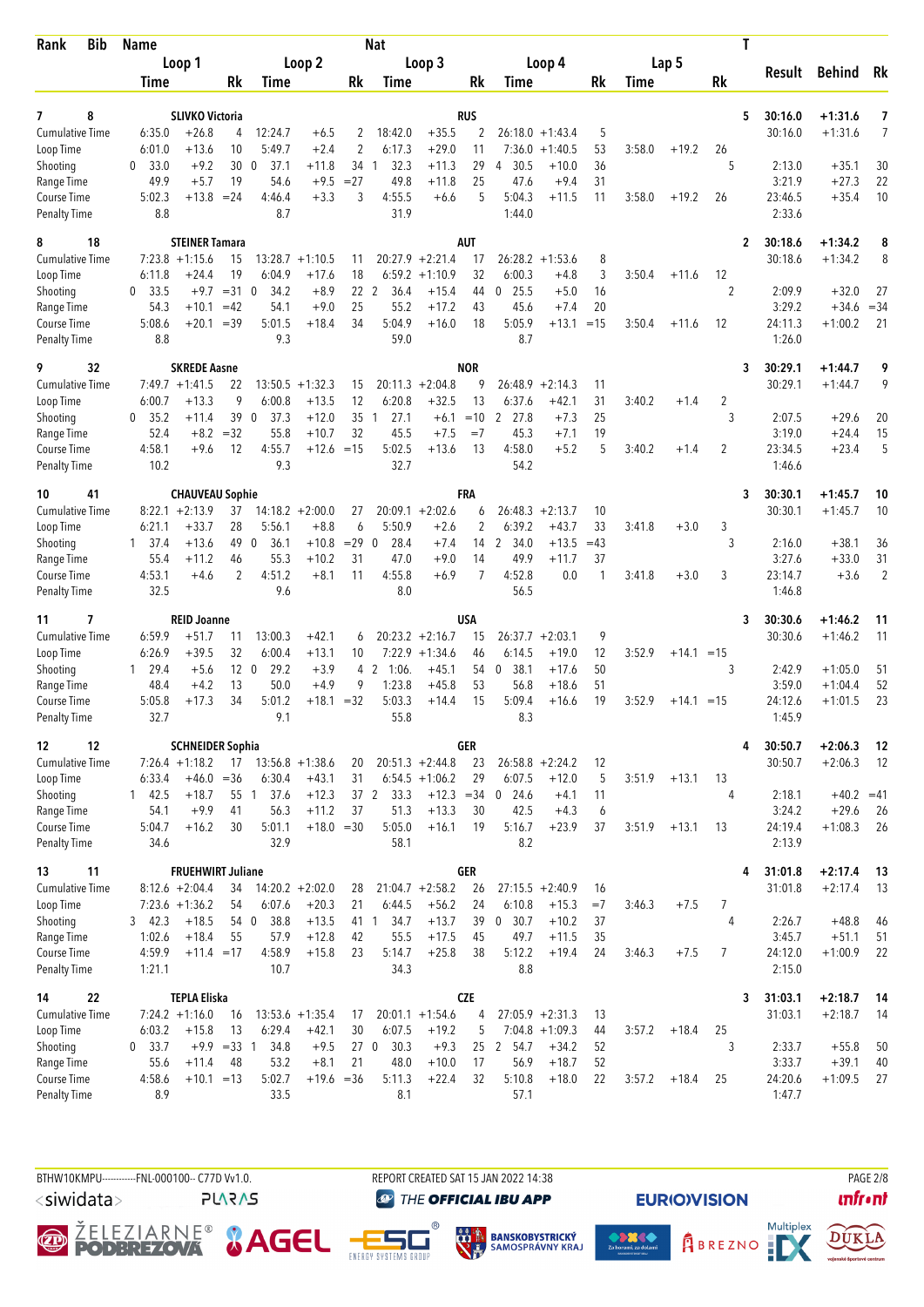| <b>Bib</b><br>Rank                  | <b>Name</b>                  |                                       |                       |                        |                               |                       | <b>Nat</b>                       |                                       |                      |                                |                      |              |             |              | T              |                    |                    |                |
|-------------------------------------|------------------------------|---------------------------------------|-----------------------|------------------------|-------------------------------|-----------------------|----------------------------------|---------------------------------------|----------------------|--------------------------------|----------------------|--------------|-------------|--------------|----------------|--------------------|--------------------|----------------|
|                                     |                              | Loop 1                                |                       |                        | Loop <sub>2</sub>             |                       |                                  | Loop 3                                |                      |                                | Loop 4               |              |             | Lap 5        |                | Result             | <b>Behind</b>      | Rk             |
|                                     | <b>Time</b>                  |                                       | Rk                    | <b>Time</b>            |                               | Rk                    | Time                             |                                       | Rk                   | Time                           |                      | Rk           | <b>Time</b> |              | Rk             |                    |                    |                |
| 8<br>7                              |                              | <b>SLIVKO Victoria</b>                |                       |                        |                               |                       |                                  |                                       | RUS                  |                                |                      |              |             |              | 5              | 30:16.0            | $+1:31.6$          | 7              |
| <b>Cumulative Time</b>              | 6:35.0                       | $+26.8$                               | 4                     | 12:24.7                | $+6.5$                        | 2                     | 18:42.0                          | $+35.5$                               | 2                    | 26:18.0                        | $+1:43.4$            | 5            |             |              |                | 30:16.0            | $+1:31.6$          | 7              |
| Loop Time<br>Shooting               | 6:01.0<br>33.0<br>$\theta$   | $+13.6$<br>$+9.2$                     | 10<br>30 <sub>0</sub> | 5:49.7<br>37.1         | $+2.4$<br>$+11.8$             | 2<br>34               | 6:17.3<br>32.3<br>$\overline{1}$ | $+29.0$<br>$+11.3$                    | 11<br>29             | 7:36.0<br>30.5<br>4            | $+1:40.5$<br>$+10.0$ | 53<br>36     | 3:58.0      | $+19.2$      | 26<br>5        | 2:13.0             | $+35.1$            | 30             |
| Range Time                          | 49.9                         | $+5.7$                                | 19                    | 54.6                   | $+9.5$                        | $= 27$                | 49.8                             | $+11.8$                               | 25                   | 47.6                           | $+9.4$               | 31           |             |              |                | 3:21.9             | $+27.3$            | 22             |
| Course Time<br><b>Penalty Time</b>  | 5:02.3<br>8.8                | $+13.8$                               | $= 24$                | 4:46.4<br>8.7          | $+3.3$                        | 3                     | 4:55.5<br>31.9                   | $+6.6$                                | 5                    | 5:04.3<br>1:44.0               | $+11.5$              | 11           | 3:58.0      | $+19.2$      | 26             | 23:46.5<br>2:33.6  | $+35.4$            | 10             |
| 18<br>8                             |                              | <b>STEINER Tamara</b>                 |                       |                        |                               |                       |                                  |                                       | <b>AUT</b>           |                                |                      |              |             |              | 2              | 30:18.6            | $+1:34.2$          | 8              |
| Cumulative Time                     |                              | $7:23.8$ +1:15.6                      | 15                    | 13:28.7                | $+1:10.5$                     | 11                    |                                  | $20:27.9$ +2:21.4                     | 17                   | $26:28.2 + 1:53.6$             |                      | 8            |             |              |                | 30:18.6            | $+1:34.2$          | 8              |
| Loop Time                           | 6:11.8                       | $+24.4$                               | 19                    | 6:04.9                 | $+17.6$                       | 18                    |                                  | $6:59.2 +1:10.9$                      | 32                   | 6:00.3                         | $+4.8$               | 3            | 3:50.4      | $+11.6$      | 12             |                    |                    |                |
| Shooting                            | 33.5<br>$\mathbf{0}$<br>54.3 | $+9.7$<br>$+10.1$                     | $=31$ 0<br>$=42$      | 34.2<br>54.1           | $+8.9$<br>$+9.0$              | 22<br>25              | 2<br>36.4<br>55.2                | $+15.4$<br>$+17.2$                    | 44<br>43             | 25.5<br>$\Omega$<br>45.6       | $+5.0$<br>$+7.4$     | 16<br>20     |             |              | $\overline{2}$ | 2:09.9<br>3:29.2   | $+32.0$<br>$+34.6$ | 27<br>$= 34$   |
| Range Time<br>Course Time           | 5:08.6                       | $+20.1$                               | $=39$                 | 5:01.5                 | $+18.4$                       | 34                    | 5:04.9                           | $+16.0$                               | 18                   | 5:05.9                         | $+13.1$              | $=15$        | 3:50.4      | $+11.6$      | 12             | 24:11.3            | $+1:00.2$          | 21             |
| <b>Penalty Time</b>                 | 8.8                          |                                       |                       | 9.3                    |                               |                       | 59.0                             |                                       |                      | 8.7                            |                      |              |             |              |                | 1:26.0             |                    |                |
| 9<br>32                             |                              | <b>SKREDE Aasne</b>                   |                       |                        |                               |                       |                                  |                                       | <b>NOR</b><br>9      |                                |                      |              |             |              | 3              | 30:29.1<br>30:29.1 | $+1:44.7$          | 9<br>9         |
| <b>Cumulative Time</b><br>Loop Time | 6:00.7                       | $7:49.7 + 1:41.5$<br>$+13.3$          | 22<br>9               | 13:50.5<br>6:00.8      | $+1:32.3$<br>$+13.5$          | 15<br>12              | 20:11.3<br>6:20.8                | $+2:04.8$<br>$+32.5$                  | 13                   | 26:48.9<br>6:37.6              | $+2:14.3$<br>$+42.1$ | 11<br>31     | 3:40.2      | $+1.4$       | 2              |                    | $+1:44.7$          |                |
| Shooting                            | 35.2<br>0                    | $+11.4$                               | 39 0                  | 37.3                   | $+12.0$                       | 35                    | 27.1<br>1                        | $+6.1$                                | $=10$                | 27.8<br>2                      | $+7.3$               | 25           |             |              | 3              | 2:07.5             | $+29.6$            | 20             |
| Range Time                          | 52.4                         | $+8.2$                                | $=32$                 | 55.8                   | $+10.7$                       | 32                    | 45.5                             | $+7.5$                                | $=7$                 | 45.3                           | $+7.1$               | 19           |             |              |                | 3:19.0             | $+24.4$            | 15             |
| Course Time<br><b>Penalty Time</b>  | 4:58.1<br>10.2               | $+9.6$                                | 12                    | 4:55.7<br>9.3          | $+12.6$                       | $=15$                 | 5:02.5<br>32.7                   | $+13.6$                               | 13                   | 4:58.0<br>54.2                 | $+5.2$               | 5            | 3:40.2      | $+1.4$       | 2              | 23:34.5<br>1:46.6  | $+23.4$            | 5              |
| 41<br>10                            |                              | <b>CHAUVEAU Sophie</b>                |                       |                        |                               |                       |                                  |                                       | <b>FRA</b>           |                                |                      |              |             |              | 3              | 30:30.1            | $+1:45.7$          | 10             |
| <b>Cumulative Time</b>              |                              | $8:22.1 + 2:13.9$                     | 37                    |                        | $14:18.2 + 2:00.0$            | 27                    |                                  | $20:09.1 + 2:02.6$                    | 6                    | 26:48.3                        | $+2:13.7$            | 10           |             |              |                | 30:30.1            | $+1:45.7$          | 10             |
| Loop Time                           | 6:21.1<br>$1 \quad 37.4$     | $+33.7$<br>$+13.6$                    | 28<br>49 0            | 5:56.1<br>36.1         | $+8.8$<br>$+10.8$             | 6<br>$=29$            | 5:50.9<br>28.4<br>$\mathbf{0}$   | $+2.6$<br>$+7.4$                      | $\overline{2}$<br>14 | 6:39.2<br>$\mathbf{2}$<br>34.0 | $+43.7$<br>$+13.5$   | 33<br>$=43$  | 3:41.8      | $+3.0$       | 3<br>3         | 2:16.0             | $+38.1$            |                |
| Shooting<br>Range Time              | 55.4                         | $+11.2$                               | 46                    | 55.3                   | $+10.2$                       | 31                    | 47.0                             | $+9.0$                                | 14                   | 49.9                           | $+11.7$              | 37           |             |              |                | 3:27.6             | $+33.0$            | 36<br>31       |
| Course Time                         | 4:53.1                       | $+4.6$                                | 2                     | 4:51.2                 | $+8.1$                        | 11                    | 4:55.8                           | $+6.9$                                | $\overline{7}$       | 4:52.8                         | 0.0                  | $\mathbf{1}$ | 3:41.8      | $+3.0$       | 3              | 23:14.7            | $+3.6$             | $\overline{2}$ |
| <b>Penalty Time</b>                 | 32.5                         |                                       |                       | 9.6                    |                               |                       | 8.0                              |                                       |                      | 56.5                           |                      |              |             |              |                | 1:46.8             |                    |                |
| 7<br>11                             |                              | <b>REID Joanne</b>                    |                       |                        |                               |                       |                                  |                                       | <b>USA</b>           |                                |                      |              |             |              | 3              | 30:30.6            | $+1:46.2$          | 11             |
| <b>Cumulative Time</b><br>Loop Time | 6:59.9<br>6:26.9             | $+51.7$<br>$+39.5$                    | 11<br>32              | 13:00.3<br>6:00.4      | $+42.1$<br>$+13.1$            | 6<br>10               |                                  | $20:23.2 +2:16.7$<br>$7:22.9$ +1:34.6 | 15<br>46             | 26:37.7<br>6:14.5              | $+2:03.1$<br>$+19.0$ | 9<br>12      | 3:52.9      | $+14.1 = 15$ |                | 30:30.6            | $+1:46.2$          | 11             |
| Shooting                            | 29.4<br>$\mathbf{1}$         | $+5.6$                                | 12 <sub>0</sub>       | 29.2                   | $+3.9$                        |                       | 4 2<br>1:06.                     | $+45.1$                               | 54                   | 38.1<br>0                      | $+17.6$              | 50           |             |              | 3              | 2:42.9             | $+1:05.0$          | 51             |
| Range Time                          | 48.4                         | $+4.2$                                | 13                    | 50.0                   | $+4.9$                        | 9                     | 1:23.8                           | $+45.8$                               | 53                   | 56.8                           | $+18.6$              | 51           |             |              |                | 3:59.0             | $+1:04.4$          | 52             |
| Course Time<br><b>Penalty Time</b>  | 5:05.8<br>32.7               | $+17.3$                               | 34                    | 5:01.2<br>9.1          | $+18.1$                       | $=32$                 | 5:03.3<br>55.8                   | $+14.4$                               | 15                   | 5:09.4<br>8.3                  | $+16.6$              | 19           | 3:52.9      | $+14.1 = 15$ |                | 24:12.6<br>1:45.9  | $+1:01.5$          | 23             |
| 12<br>12                            |                              | <b>SCHNEIDER Sophia</b>               |                       |                        |                               |                       |                                  |                                       | GER                  |                                |                      |              |             |              | 4              | 30:50.7            | $+2:06.3$          | -12            |
| Cumulative Time                     |                              | $7:26.4 +1:18.2$                      | 17                    | $13:56.8 +1:38.6$      |                               | 20                    |                                  | $20:51.3 +2:44.8$                     | 23                   | $26:58.8 + 2:24.2$             |                      | 12           |             |              |                | 30:50.7            | $+2:06.3$          | -12            |
| Loop Time<br>Shooting               | 6:33.4<br>142.5              | $+46.0$<br>$+18.7$                    | $=36$                 | 6:30.4<br>37.6<br>55 1 | $+43.1$<br>$+12.3$            | 31                    | 37 2<br>33.3                     | $6:54.5 +1:06.2$<br>$+12.3 = 34$      | 29                   | 6:07.5<br>$0$ 24.6             | $+12.0$<br>$+4.1$    | 5<br>11      | 3:51.9      | $+13.1$      | 13<br>4        | 2:18.1             | $+40.2 = 41$       |                |
| Range Time                          | 54.1                         | $+9.9$                                | 41                    | 56.3                   | $+11.2$                       | 37                    | 51.3                             | $+13.3$                               | 30                   | 42.5                           | $+4.3$               | 6            |             |              |                | 3:24.2             | $+29.6$            | 26             |
| Course Time                         | 5:04.7                       | $+16.2$                               | 30                    | 5:01.1                 | $+18.0 = 30$                  |                       | 5:05.0                           | $+16.1$                               | 19                   | 5:16.7                         | $+23.9$              | 37           | 3:51.9      | $+13.1$      | 13             | 24:19.4            | $+1:08.3$          | - 26           |
| <b>Penalty Time</b>                 | 34.6                         |                                       |                       | 32.9                   |                               |                       | 58.1                             |                                       |                      | 8.2                            |                      |              |             |              |                | 2:13.9             |                    |                |
| 11<br>13                            |                              | <b>FRUEHWIRT Juliane</b>              |                       |                        |                               |                       |                                  |                                       | <b>GER</b>           |                                |                      |              |             |              | 4              | 31:01.8            | $+2:17.4$          | - 13           |
| <b>Cumulative Time</b><br>Loop Time |                              | $8:12.6 + 2:04.4$<br>$7:23.6 +1:36.2$ | 34<br>54              | 6:07.6                 | $14:20.2 + 2:02.0$<br>$+20.3$ | 28<br>21              | 6:44.5                           | $21:04.7 +2:58.2$<br>$+56.2$          | 26<br>24             | $27:15.5 + 2:40.9$<br>6:10.8   | $+15.3$              | 16<br>$=7$   | 3:46.3      | $+7.5$       | 7              | 31:01.8            | $+2:17.4$          | -13            |
| Shooting                            | 3, 42.3                      | $+18.5$                               | 54 0                  | 38.8                   | $+13.5$                       | 41 1                  | 34.7                             | $+13.7$                               | 39                   | 30.7<br>$\overline{0}$         | $+10.2$              | 37           |             |              | 4              | 2:26.7             | $+48.8$            | 46             |
| Range Time                          | 1:02.6                       | $+18.4$                               | 55                    | 57.9                   | $+12.8$                       | 42                    | 55.5                             | $+17.5$                               | 45                   | 49.7                           | $+11.5$              | 35           |             |              |                | 3:45.7             | $+51.1$            | 51             |
| Course Time<br><b>Penalty Time</b>  | 4:59.9<br>1:21.1             | $+11.4 = 17$                          |                       | 4:58.9<br>10.7         | $+15.8$                       | 23                    | 5:14.7<br>34.3                   | $+25.8$                               | 38                   | 5:12.2<br>8.8                  | $+19.4$              | 24           | 3:46.3      | $+7.5$       | $\overline{7}$ | 24:12.0<br>2:15.0  | $+1:00.9$          | 22             |
| 22<br>14                            |                              | <b>TEPLA Eliska</b>                   |                       |                        |                               |                       |                                  |                                       | <b>CZE</b>           |                                |                      |              |             |              | 3              | 31:03.1            | $+2:18.7$          | -14            |
| <b>Cumulative Time</b>              |                              | $7:24.2 +1:16.0$                      | 16                    |                        | $13:53.6 + 1:35.4$            | 17                    |                                  | $20:01.1 +1:54.6$                     | 4                    | $27:05.9 +2:31.3$              |                      | 13           |             |              |                | 31:03.1            | $+2:18.7$          | -14            |
| Loop Time                           | 6:03.2                       | $+15.8$                               | 13                    | 6:29.4                 | $+42.1$                       | 30                    | 6:07.5                           | $+19.2$                               | 5                    |                                | $7:04.8 +1:09.3$     | 44           | 3:57.2      | $+18.4$      | 25             |                    |                    |                |
| Shooting<br>Range Time              | 0, 33.7<br>55.6              | $+11.4$                               | $+9.9 = 33 1$<br>48   | 34.8<br>53.2           | $+9.5$<br>$+8.1$              | 27 <sub>0</sub><br>21 | 30.3<br>48.0                     | $+9.3$<br>$+10.0$                     | 17                   | 25 2 54.7<br>56.9              | $+34.2$<br>$+18.7$   | 52<br>52     |             |              | 3              | 2:33.7<br>3:33.7   | $+55.8$<br>$+39.1$ | 50<br>40       |
| Course Time                         | 4:58.6                       | $+10.1 = 13$                          |                       | 5:02.7                 | $+19.6 = 36$                  |                       | 5:11.3                           | $+22.4$                               | 32                   | 5:10.8                         | $+18.0$              | 22           | 3:57.2      | $+18.4$      | 25             | 24:20.6            | $+1:09.5$          | 27             |
| <b>Penalty Time</b>                 | 8.9                          |                                       |                       | 33.5                   |                               |                       | 8.1                              |                                       |                      | 57.1                           |                      |              |             |              |                | 1:47.7             |                    |                |

BTHW10KMPU-----------FNL-000100-- C77D W1.0. REPORT CREATED SAT 15 JAN 2022 14:38 REPORT CREATED SAT 15 JAN 2022 14:38

<siwidata>

**PLARAS** 

**O ŽELEZIARNE<sup>®</sup> & AGEL** 



**THE OFFICIAL IBU APP** 







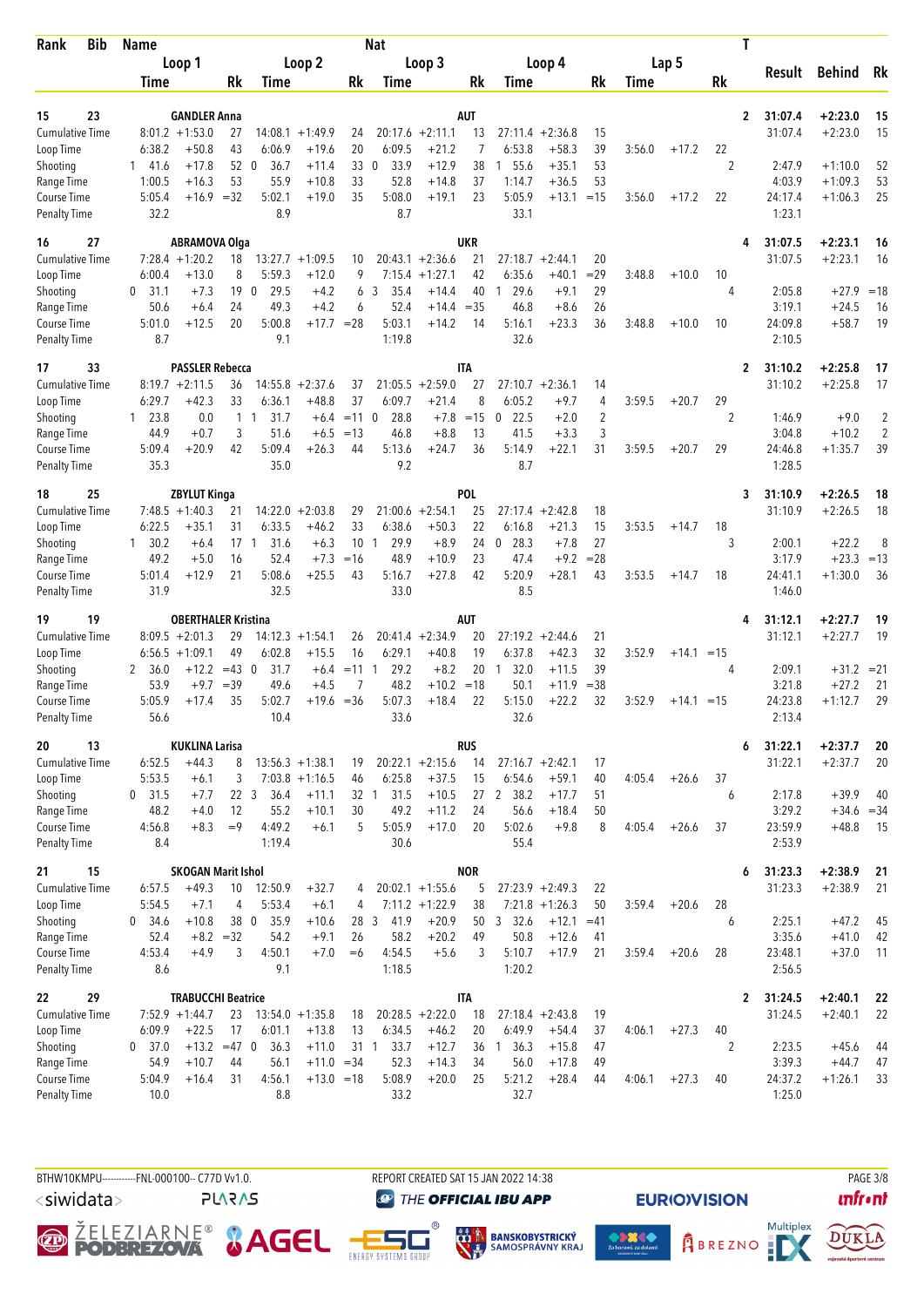| <b>Bib</b><br>Rank                  | <b>Name</b>            |                                                 |              |                                |                      |             | Nat                     |                              |                  |                             |                               |                |        |              |                | Τ                                    |                        |              |
|-------------------------------------|------------------------|-------------------------------------------------|--------------|--------------------------------|----------------------|-------------|-------------------------|------------------------------|------------------|-----------------------------|-------------------------------|----------------|--------|--------------|----------------|--------------------------------------|------------------------|--------------|
|                                     |                        | Loop 1                                          |              |                                | Loop 2               |             |                         | Loop 3                       |                  |                             | Loop 4                        |                |        | Lap 5        |                |                                      |                        |              |
|                                     | Time                   |                                                 | Rk           | Time                           |                      | Rk          | Time                    |                              | Rk               | Time                        |                               | Rk             | Time   |              | Rk             | Result                               | Behind                 | Rk           |
|                                     |                        |                                                 |              |                                |                      |             |                         |                              |                  |                             |                               |                |        |              |                |                                      |                        |              |
| 23<br>15                            |                        | <b>GANDLER Anna</b>                             |              |                                |                      |             |                         |                              | AUT              |                             |                               |                |        |              |                | 31:07.4<br>$\mathbf{2}$              | $+2:23.0$              | 15           |
| <b>Cumulative Time</b><br>Loop Time | 6:38.2                 | $8:01.2 +1:53.0$<br>$+50.8$                     | 27<br>43     | 14:08.1<br>6:06.9              | $+1:49.9$<br>$+19.6$ | 24<br>20    | 6:09.5                  | $20:17.6 +2:11.1$<br>$+21.2$ | 13<br>7          | 6:53.8                      | $27:11.4 + 2:36.8$<br>$+58.3$ | 15<br>39       | 3:56.0 | $+17.2$      | 22             | 31:07.4                              | $+2:23.0$              | 15           |
| Shooting                            | 141.6                  | $+17.8$                                         |              | 52 0<br>36.7                   | $+11.4$              | 33          | $\mathbf{0}$<br>33.9    | $+12.9$                      | 38               | 55.6<br>1                   | $+35.1$                       | 53             |        |              | 2              | 2:47.9                               | $+1:10.0$              | 52           |
| Range Time                          | 1:00.5                 | $+16.3$                                         | 53           | 55.9                           | $+10.8$              | 33          | 52.8                    | $+14.8$                      | 37               | 1:14.7                      | $+36.5$                       | 53             |        |              |                | 4:03.9                               | $+1:09.3$              | 53           |
| Course Time                         | 5:05.4                 |                                                 | $+16.9 = 32$ | 5:02.1                         | $+19.0$              | 35          | 5:08.0                  | $+19.1$                      | 23               | 5:05.9                      | $+13.1$                       | $=15$          | 3:56.0 | $+17.2$      | 22             | 24:17.4                              | $+1:06.3$              | 25           |
| <b>Penalty Time</b>                 | 32.2                   |                                                 |              | 8.9                            |                      |             | 8.7                     |                              |                  | 33.1                        |                               |                |        |              |                | 1:23.1                               |                        |              |
| 27<br>16                            |                        | <b>ABRAMOVA Olga</b>                            |              |                                |                      |             |                         |                              | <b>UKR</b>       |                             |                               |                |        |              |                | 31:07.5<br>4                         | $+2:23.1$              | 16           |
| <b>Cumulative Time</b>              |                        | $7:28.4 +1:20.2$                                | 18           |                                | $13:27.7 + 1:09.5$   | 10          |                         | $20:43.1 + 2:36.6$           | 21               |                             | $27:18.7 + 2:44.1$            | 20             |        |              |                | 31:07.5                              | $+2:23.1$              | 16           |
| Loop Time                           | 6:00.4                 | $+13.0$                                         | 8            | 5:59.3                         | $+12.0$              | 9           | 7:15.4                  | $+1:27.1$                    | 42               | 6:35.6                      | $+40.1$                       | $=29$          | 3:48.8 | $+10.0$      | 10             |                                      |                        |              |
| Shooting                            | 0<br>31.1              | $+7.3$                                          | 19           | $\overline{0}$<br>29.5         | $+4.2$               | 6           | 3<br>35.4               | $+14.4$                      | 40               | 29.6<br>1                   | $+9.1$                        | 29             |        |              | 4              | 2:05.8                               | $+27.9$                | $=18$        |
| Range Time                          | 50.6                   | $+6.4$                                          | 24           | 49.3                           | $+4.2$               | 6           | 52.4                    | $+14.4 = 35$                 |                  | 46.8                        | $+8.6$                        | 26             |        |              |                | 3:19.1                               | $+24.5$                | 16           |
| Course Time                         | 5:01.0                 | $+12.5$                                         | 20           | 5:00.8                         | $+17.7 = 28$         |             | 5:03.1                  | $+14.2$                      | 14               | 5:16.1                      | $+23.3$                       | 36             | 3:48.8 | $+10.0$      | 10             | 24:09.8                              | $+58.7$                | 19           |
| <b>Penalty Time</b>                 | 8.7                    |                                                 |              | 9.1                            |                      |             | 1:19.8                  |                              |                  | 32.6                        |                               |                |        |              |                | 2:10.5                               |                        |              |
| 33<br>17                            |                        | <b>PASSLER Rebecca</b>                          |              |                                |                      |             |                         |                              | <b>ITA</b>       |                             |                               |                |        |              |                | 31:10.2<br>$\overline{2}$            | $+2:25.8$              | 17           |
| <b>Cumulative Time</b>              |                        | $8:19.7 + 2:11.5$                               | 36           | 14:55.8                        | $+2:37.6$            | 37          | 21:05.5                 | $+2:59.0$                    | 27               |                             | $27:10.7 + 2:36.1$            | 14             |        |              |                | 31:10.2                              | $+2:25.8$              | 17           |
| Loop Time                           | 6:29.7                 | $+42.3$                                         | 33           | 6:36.1                         | $+48.8$              | 37          | 6:09.7                  | $+21.4$                      | 8                | 6:05.2                      | $+9.7$                        | $\overline{4}$ | 3:59.5 | $+20.7$      | 29             |                                      |                        |              |
| Shooting                            | $1\quad 23.8$          | 0.0                                             |              | 31.7<br>$1\quad1$              | $+6.4$               | $= 11$ 0    | 28.8                    | $+7.8$                       | $=15$            | 22.5<br>0                   | $+2.0$                        | $\overline{2}$ |        |              | 2              | 1:46.9                               | $+9.0$                 | 2            |
| Range Time                          | 44.9                   | $+0.7$                                          | 3            | 51.6                           | $+6.5$               | $=13$       | 46.8                    | $+8.8$                       | 13               | 41.5                        | $+3.3$                        | 3              |        |              |                | 3:04.8                               | $+10.2$                | 2            |
| Course Time                         | 5:09.4                 | $+20.9$                                         | 42           | 5:09.4                         | $+26.3$              | 44          | 5:13.6                  | $+24.7$                      | 36               | 5:14.9                      | $+22.1$                       | 31             | 3:59.5 | $+20.7$      | 29             | 24:46.8                              | $+1:35.7$              | 39           |
| <b>Penalty Time</b>                 | 35.3                   |                                                 |              | 35.0                           |                      |             | 9.2                     |                              |                  | 8.7                         |                               |                |        |              |                | 1:28.5                               |                        |              |
| 25<br>18                            |                        | <b>ZBYLUT Kinga</b>                             |              |                                |                      |             |                         |                              | <b>POL</b>       |                             |                               |                |        |              |                | 31:10.9<br>3                         | $+2:26.5$              | 18           |
| <b>Cumulative Time</b>              |                        | $7:48.5 +1:40.3$                                | 21           |                                | $14:22.0 + 2:03.8$   | 29          |                         | $21:00.6 + 2:54.1$           | 25               |                             | $27:17.4 + 2:42.8$            | 18             |        |              |                | 31:10.9                              | $+2:26.5$              | 18           |
| Loop Time                           | 6:22.5                 | $+35.1$                                         | 31           | 6:33.5                         | $+46.2$              | 33          | 6:38.6                  | $+50.3$                      | 22               | 6:16.8                      | $+21.3$                       | 15             | 3:53.5 | $+14.7$      | 18             |                                      |                        |              |
| Shooting                            | $1 \quad 30.2$<br>49.2 | $+6.4$<br>$+5.0$                                | 17<br>16     | 31.6<br>$\overline{1}$<br>52.4 | $+6.3$<br>$+7.3$     | 10<br>$=16$ | 29.9<br>-1<br>48.9      | $+8.9$<br>$+10.9$            | 24<br>23         | 28.3<br>$\mathbf 0$<br>47.4 | $+7.8$<br>$+9.2$              | 27<br>$= 28$   |        |              | 3              | 2:00.1<br>3:17.9                     | $+22.2$<br>$+23.3$     | 8<br>$=13$   |
| Range Time<br>Course Time           | 5:01.4                 | $+12.9$                                         | 21           | 5:08.6                         | $+25.5$              | 43          | 5:16.7                  | $+27.8$                      | 42               | 5:20.9                      | $+28.1$                       | 43             | 3:53.5 | $+14.7$      | 18             | 24:41.1                              | $+1:30.0$              | 36           |
| <b>Penalty Time</b>                 | 31.9                   |                                                 |              | 32.5                           |                      |             | 33.0                    |                              |                  | 8.5                         |                               |                |        |              |                | 1:46.0                               |                        |              |
|                                     |                        |                                                 |              |                                |                      |             |                         |                              |                  |                             |                               |                |        |              |                |                                      |                        |              |
| 19<br>19<br><b>Cumulative Time</b>  |                        | <b>OBERTHALER Kristina</b><br>$8:09.5 + 2:01.3$ | 29           |                                | $14:12.3 + 1:54.1$   | 26          |                         | $20:41.4 +2:34.9$            | AUT<br>20        | 27:19.2                     | $+2:44.6$                     | 21             |        |              |                | 31:12.1<br>4<br>31:12.1              | $+2:27.7$<br>$+2:27.7$ | 19<br>19     |
| Loop Time                           |                        | $6:56.5 +1:09.1$                                | 49           | 6:02.8                         | $+15.5$              | 16          | 6:29.1                  | $+40.8$                      | 19               | 6:37.8                      | $+42.3$                       | 32             | 3:52.9 | $+14.1 = 15$ |                |                                      |                        |              |
| Shooting                            | 2<br>36.0              | $+12.2$                                         | $=43$ 0      | 31.7                           | $+6.4$               | $=11$       | 29.2<br>-1              | $+8.2$                       | 20               | 32.0<br>1                   | $+11.5$                       | 39             |        |              | 4              | 2:09.1                               |                        | $+31.2 = 21$ |
| Range Time                          | 53.9                   | $+9.7$                                          | $=39$        | 49.6                           | $+4.5$               | 7           | 48.2                    | $+10.2$                      | $=18$            | 50.1                        | $+11.9$                       | $= 38$         |        |              |                | 3:21.8                               | $+27.2$                | 21           |
| Course Time                         | 5:05.9                 | $+17.4$                                         | 35           | 5:02.7                         | $+19.6 = 36$         |             | 5:07.3                  | $+18.4$                      | 22               | 5:15.0                      | $+22.2$                       | 32             | 3:52.9 | $+14.1 = 15$ |                | 24:23.8                              | $+1:12.7$              | 29           |
| <b>Penalty Time</b>                 | 56.6                   |                                                 |              | 10.4                           |                      |             | 33.6                    |                              |                  | 32.6                        |                               |                |        |              |                | 2:13.4                               |                        |              |
| 13<br>20                            |                        | <b>KUKLINA Larisa</b>                           |              |                                |                      |             |                         |                              | <b>RUS</b>       |                             |                               |                |        |              |                | 31:22.1<br>6                         | $+2:37.7$              | 20           |
| <b>Cumulative Time</b>              | 6:52.5                 | $+44.3$                                         | 8            |                                | $13:56.3 +1:38.1$    | 19          |                         | $20:22.1 + 2:15.6$           | 14               |                             | $27:16.7 + 2:42.1$            | 17             |        |              |                | 31:22.1                              | $+2:37.7$              | 20           |
| Loop Time                           | 5:53.5                 | $+6.1$                                          | 3            |                                | $7:03.8 +1:16.5$     | 46          | 6:25.8                  | $+37.5$                      | 15               | 6:54.6                      | $+59.1$                       | 40             | 4:05.4 | $+26.6$      | 37             |                                      |                        |              |
| Shooting                            | $0$ 31.5               | $+7.7$                                          |              | 22 <sub>3</sub><br>36.4        | $+11.1$              |             | 32 <sub>1</sub><br>31.5 | $+10.5$                      |                  | 27 2 38.2                   | $+17.7$                       | 51             |        |              | 6              | 2:17.8                               | $+39.9$                | 40           |
| Range Time                          | 48.2                   | $+4.0$                                          | 12           | 55.2                           | $+10.1$              | 30          | 49.2                    | $+11.2$                      | 24               | 56.6                        | $+18.4$                       | 50             |        |              |                | 3:29.2                               |                        | $+34.6 = 34$ |
| Course Time                         | 4:56.8                 | $+8.3$                                          | $=9$         | 4:49.2                         | $+6.1$               | 5           | 5:05.9                  | $+17.0$                      | 20               | 5:02.6                      | $+9.8$                        | 8              | 4:05.4 | $+26.6$      | 37             | 23:59.9                              | $+48.8$                | 15           |
| <b>Penalty Time</b>                 | 8.4                    |                                                 |              | 1:19.4                         |                      |             | 30.6                    |                              |                  | 55.4                        |                               |                |        |              |                | 2:53.9                               |                        |              |
| 15<br>21                            |                        | <b>SKOGAN Marit Ishol</b>                       |              |                                |                      |             |                         |                              | <b>NOR</b>       |                             |                               |                |        |              |                | 31:23.3<br>6                         | $+2:38.9$              | 21           |
| <b>Cumulative Time</b>              | 6:57.5                 | $+49.3$                                         | 10           | 12:50.9                        | $+32.7$              | 4           |                         | $20:02.1 + 1:55.6$           | 5                |                             | $27:23.9 +2:49.3$             | 22             |        |              |                | 31:23.3                              | $+2:38.9$              | 21           |
| Loop Time                           | 5:54.5                 | $+7.1$                                          | 4            | 5:53.4                         | $+6.1$               | 4           |                         | $7:11.2 +1:22.9$             | 38               |                             | $7:21.8 +1:26.3$              | 50             | 3:59.4 | $+20.6$      | 28             |                                      |                        |              |
| Shooting                            | 34.6<br>0              | $+10.8$                                         |              | 38 0<br>35.9                   | $+10.6$              | 28 3        | 41.9                    | $+20.9$                      | 50               | 3, 32.6                     | $+12.1$                       | $=41$          |        |              | 6              | 2:25.1                               | $+47.2$                | 45           |
| Range Time                          | 52.4                   |                                                 | $+8.2 = 32$  | 54.2                           | $+9.1$               | 26          | 58.2                    | $+20.2$                      | 49               | 50.8                        | $+12.6$                       | 41             |        |              |                | 3:35.6                               | $+41.0$                | 42           |
| Course Time<br><b>Penalty Time</b>  | 4:53.4<br>8.6          | $+4.9$                                          | 3            | 4:50.1<br>9.1                  | $+7.0$               | $=6$        | 4:54.5<br>1:18.5        | $+5.6$                       | 3                | 5:10.7<br>1:20.2            | $+17.9$                       | 21             | 3:59.4 | $+20.6$      | 28             | 23:48.1<br>2:56.5                    | $+37.0$                | 11           |
|                                     |                        |                                                 |              |                                |                      |             |                         |                              |                  |                             |                               |                |        |              |                |                                      |                        |              |
| 22<br>29<br><b>Cumulative Time</b>  |                        | <b>TRABUCCHI Beatrice</b><br>$7:52.9$ +1:44.7   | 23           |                                | $13:54.0 + 1:35.8$   | 18          |                         | $20:28.5 + 2:22.0$           | <b>ITA</b><br>18 |                             | $27:18.4 +2:43.8$             | 19             |        |              |                | $\overline{2}$<br>31:24.5<br>31:24.5 | $+2:40.1$<br>$+2:40.1$ | 22<br>22     |
| Loop Time                           | 6:09.9                 | $+22.5$                                         | 17           | 6:01.1                         | $+13.8$              | 13          | 6:34.5                  | $+46.2$                      | 20               | 6:49.9                      | $+54.4$                       | 37             | 4:06.1 | $+27.3$      | 40             |                                      |                        |              |
| Shooting                            | 0, 37.0                | $+13.2$                                         | $=47$ 0      | 36.3                           | $+11.0$              |             | 33.7<br>31 1            | $+12.7$                      |                  | 36 1 36.3                   | $+15.8$                       | 47             |        |              | $\overline{2}$ | 2:23.5                               | $+45.6$                | 44           |
| Range Time                          | 54.9                   | $+10.7$                                         | 44           | 56.1                           | $+11.0 = 34$         |             | 52.3                    | $+14.3$                      | 34               | 56.0                        | $+17.8$                       | 49             |        |              |                | 3:39.3                               | $+44.7$                | 47           |
| Course Time                         | 5:04.9                 | $+16.4$                                         | 31           | 4:56.1                         | $+13.0 = 18$         |             | 5:08.9                  | $+20.0$                      | 25               | 5:21.2                      | $+28.4$                       | 44             | 4:06.1 | $+27.3$      | 40             | 24:37.2                              | $+1:26.1$              | 33           |
| <b>Penalty Time</b>                 | 10.0                   |                                                 |              | 8.8                            |                      |             | 33.2                    |                              |                  | 32.7                        |                               |                |        |              |                | 1:25.0                               |                        |              |
|                                     |                        |                                                 |              |                                |                      |             |                         |                              |                  |                             |                               |                |        |              |                |                                      |                        |              |

BTHW10KMPU-----------FNL-000100-- C77D W1.0. REPORT CREATED SAT 15 JAN 2022 14:38 REPORT CREATED SAT 15 JAN 2022 14:38

<siwidata>

**PLARAS** 

**THE OFFICIAL IBU APP** 







**EURIO)VISION** 







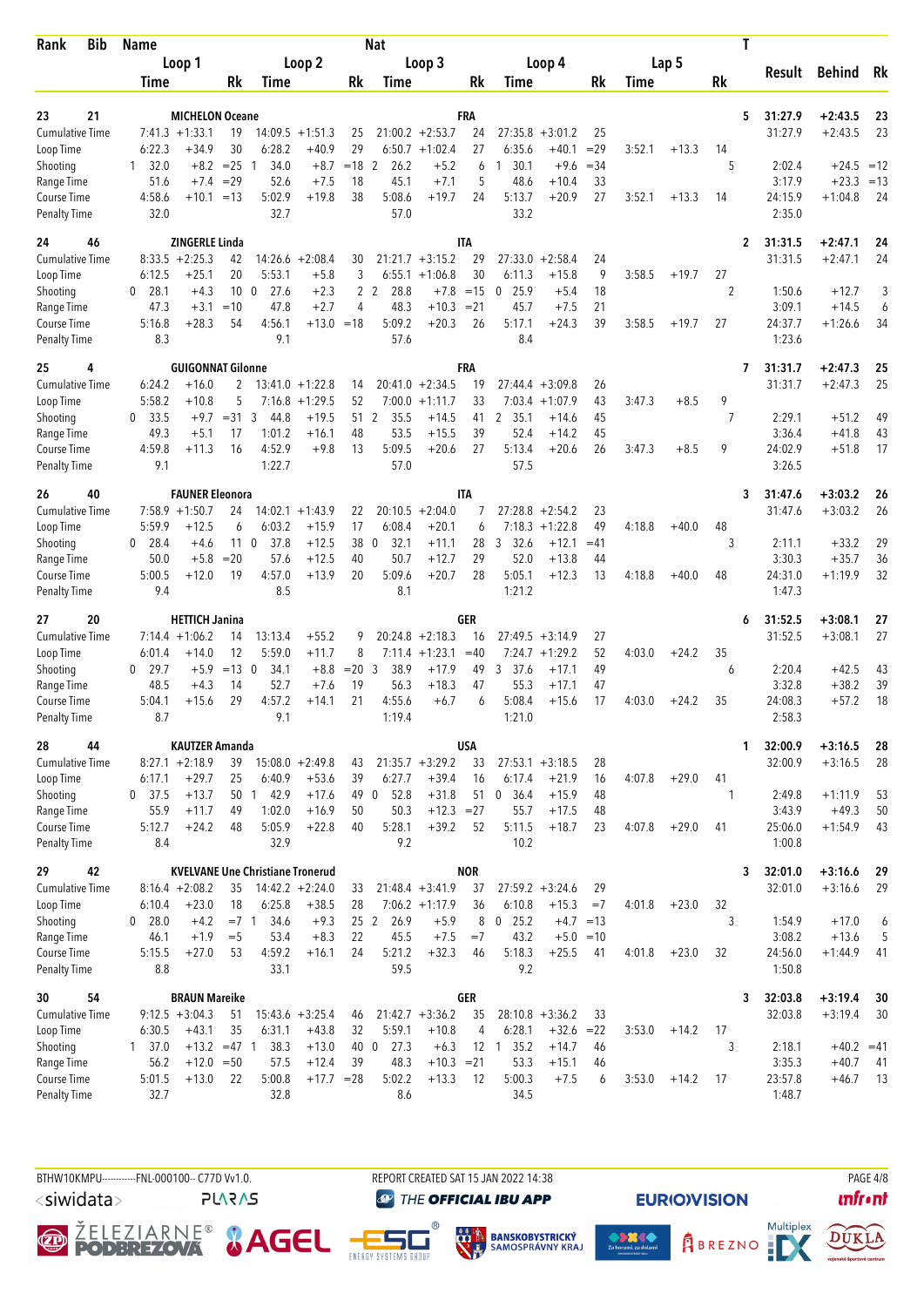| <b>Bib</b><br>Rank                 | <b>Name</b>         |                                     |                 |                                         |                    |                | <b>Nat</b>                    |                         |            |                      |                      |             |        |         |                | T                         |                        |          |
|------------------------------------|---------------------|-------------------------------------|-----------------|-----------------------------------------|--------------------|----------------|-------------------------------|-------------------------|------------|----------------------|----------------------|-------------|--------|---------|----------------|---------------------------|------------------------|----------|
|                                    |                     | Loop 1                              |                 |                                         | Loop 2             |                |                               | Loop 3                  |            |                      | Loop 4               |             |        | Lap 5   |                | Result                    | <b>Behind</b>          | Rk       |
|                                    | Time                |                                     | Rk              | <b>Time</b>                             |                    | Rk             | Time                          |                         | Rk         | Time                 |                      | Rk          | Time   |         | Rk             |                           |                        |          |
| 21<br>23                           |                     | <b>MICHELON Oceane</b>              |                 |                                         |                    |                |                               |                         | FRA        |                      |                      |             |        |         |                | 5<br>31:27.9              | $+2:43.5$              |          |
| <b>Cumulative Time</b>             |                     | $7:41.3 +1:33.1$                    | 19              |                                         | $14:09.5 +1:51.3$  | 25             |                               | $21:00.2 + 2:53.7$      | 24         | 27:35.8              | $+3:01.2$            | 25          |        |         |                | 31:27.9                   | $+2:43.5$              | 23<br>23 |
| Loop Time                          | 6:22.3              | $+34.9$                             | 30              | 6:28.2                                  | $+40.9$            | 29             |                               | $6:50.7 +1:02.4$        | 27         | 6:35.6               | $+40.1$              | $=29$       | 3:52.1 | $+13.3$ | 14             |                           |                        |          |
| Shooting                           | 32.0<br>1           | $+8.2$                              | $= 25$          | 34.0<br>$\mathbf{1}$                    | $+8.7$             | $=18$          | $\overline{2}$<br>26.2        | $+5.2$                  | 6          | 30.1<br>1            | $+9.6$               | $=34$       |        |         | 5              | 2:02.4                    | $+24.5$                | $=12$    |
| Range Time                         | 51.6                | $+7.4$                              | $=29$           | 52.6                                    | $+7.5$             | 18             | 45.1                          | $+7.1$                  | 5          | 48.6                 | $+10.4$              | 33          |        |         |                | 3:17.9                    | $+23.3$                | $=13$    |
| Course Time<br><b>Penalty Time</b> | 4:58.6<br>32.0      | $+10.1$                             | $=13$           | 5:02.9<br>32.7                          | $+19.8$            | 38             | 5:08.6<br>57.0                | $+19.7$                 | 24         | 5:13.7<br>33.2       | $+20.9$              | 27          | 3:52.1 | $+13.3$ | 14             | 24:15.9<br>2:35.0         | $+1:04.8$              | 24       |
| 24<br>46                           |                     | <b>ZINGERLE Linda</b>               |                 |                                         |                    |                |                               |                         | <b>ITA</b> |                      |                      |             |        |         |                | 31:31.5<br>$\overline{2}$ | $+2:47.1$              | 24       |
| <b>Cumulative Time</b>             |                     | $8:33.5 +2:25.3$                    | 42              |                                         | $14:26.6 + 2:08.4$ | 30             |                               | $21:21.7 + 3:15.2$      | 29         | 27:33.0              | $+2:58.4$            | 24          |        |         |                | 31:31.5                   | $+2:47.1$              | 24       |
| Loop Time                          | 6:12.5              | $+25.1$                             | 20              | 5:53.1                                  | $+5.8$             | 3              |                               | $6:55.1 + 1:06.8$       | 30         | 6:11.3               | $+15.8$              | 9           | 3:58.5 | $+19.7$ | 27             |                           |                        |          |
| Shooting                           | 28.1<br>0           | $+4.3$                              | 10 <sub>0</sub> | 27.6                                    | $+2.3$             | $\mathbf{2}$   | 28.8<br>2                     | $+7.8$                  | $=15$      | 25.9<br>$\mathbf 0$  | $+5.4$               | 18          |        |         | $\overline{2}$ | 1:50.6                    | $+12.7$                | 3        |
| Range Time                         | 47.3                | $+3.1$                              | $=10$           | 47.8                                    | $+2.7$             | 4              | 48.3                          | $+10.3$                 | $= 21$     | 45.7                 | $+7.5$               | 21          |        |         |                | 3:09.1                    | $+14.5$                | 6        |
| Course Time                        | 5:16.8              | $+28.3$                             | 54              | 4:56.1                                  | $+13.0 = 18$       |                | 5:09.2                        | $+20.3$                 | 26         | 5:17.1               | $+24.3$              | 39          | 3:58.5 | $+19.7$ | 27             | 24:37.7                   | $+1:26.6$              | 34       |
| <b>Penalty Time</b>                | 8.3                 |                                     |                 | 9.1                                     |                    |                | 57.6                          |                         |            | 8.4                  |                      |             |        |         |                | 1:23.6                    |                        |          |
| 25<br>4<br><b>Cumulative Time</b>  | 6:24.2              | <b>GUIGONNAT Gilonne</b><br>$+16.0$ | $\overline{2}$  |                                         | $13:41.0 + 1:22.8$ | 14             | 20:41.0                       | $+2:34.5$               | FRA<br>19  | 27:44.4              | $+3:09.8$            | 26          |        |         |                | 31:31.7<br>7<br>31:31.7   | $+2:47.3$<br>$+2:47.3$ | 25<br>25 |
| Loop Time                          | 5:58.2              | $+10.8$                             | 5               |                                         | $7:16.8 + 1:29.5$  | 52             | 7:00.0                        | $+1:11.7$               | 33         | 7:03.4               | $+1:07.9$            | 43          | 3:47.3 | $+8.5$  | 9              |                           |                        |          |
| Shooting                           | 33.5<br>0           | $+9.7$                              | $= 31$          | 3<br>44.8                               | $+19.5$            | 51             | 2<br>35.5                     | $+14.5$                 | 41         | 35.1<br>$\mathbf{2}$ | $+14.6$              | 45          |        |         | $\overline{7}$ | 2:29.1                    | $+51.2$                | 49       |
| Range Time                         | 49.3                | $+5.1$                              | 17              | 1:01.2                                  | $+16.1$            | 48             | 53.5                          | $+15.5$                 | 39         | 52.4                 | $+14.2$              | 45          |        |         |                | 3:36.4                    | $+41.8$                | 43       |
| Course Time                        | 4:59.8              | $+11.3$                             | 16              | 4:52.9                                  | $+9.8$             | 13             | 5:09.5                        | $+20.6$                 | 27         | 5:13.4               | $+20.6$              | 26          | 3:47.3 | $+8.5$  | 9              | 24:02.9                   | $+51.8$                | 17       |
| <b>Penalty Time</b>                | 9.1                 |                                     |                 | 1:22.7                                  |                    |                | 57.0                          |                         |            | 57.5                 |                      |             |        |         |                | 3:26.5                    |                        |          |
| 26<br>40                           |                     | <b>FAUNER Eleonora</b>              |                 |                                         |                    |                |                               |                         | <b>ITA</b> |                      |                      |             |        |         |                | 31:47.6<br>3              | $+3:03.2$              | 26       |
| <b>Cumulative Time</b>             |                     | $7:58.9 +1:50.7$                    | 24              |                                         | $14:02.1 +1:43.9$  | 22             |                               | $20:10.5 + 2:04.0$      | 7          | 27:28.8              | $+2:54.2$            | 23          |        |         |                | 31:47.6                   | $+3:03.2$              | 26       |
| Loop Time                          | 5:59.9<br>28.4<br>0 | $+12.5$                             | 6               | 6:03.2<br>11 <sub>0</sub><br>37.8       | $+15.9$<br>$+12.5$ | 17<br>38       | 6:08.4<br>32.1<br>$\mathbf 0$ | $+20.1$                 | 6<br>28    | 7:18.3<br>32.6       | $+1:22.8$<br>$+12.1$ | 49<br>$=41$ | 4:18.8 | $+40.0$ | 48<br>3        | 2:11.1                    | $+33.2$                | 29       |
| Shooting<br>Range Time             | 50.0                | $+4.6$<br>$+5.8$                    | $=20$           | 57.6                                    | $+12.5$            | 40             | 50.7                          | $+11.1$<br>$+12.7$      | 29         | 3<br>52.0            | $+13.8$              | 44          |        |         |                | 3:30.3                    | $+35.7$                | 36       |
| Course Time                        | 5:00.5              | $+12.0$                             | 19              | 4:57.0                                  | $+13.9$            | 20             | 5:09.6                        | $+20.7$                 | 28         | 5:05.1               | $+12.3$              | 13          | 4:18.8 | $+40.0$ | 48             | 24:31.0                   | $+1:19.9$              | 32       |
| <b>Penalty Time</b>                | 9.4                 |                                     |                 | 8.5                                     |                    |                | 8.1                           |                         |            | 1:21.2               |                      |             |        |         |                | 1:47.3                    |                        |          |
| 20<br>27                           |                     | <b>HETTICH Janina</b>               |                 |                                         |                    |                |                               |                         | GER        |                      |                      |             |        |         |                | 31:52.5<br>6              | $+3:08.1$              | 27       |
| Cumulative Time                    |                     | $7:14.4 + 1:06.2$                   | 14              | 13:13.4                                 | $+55.2$            | 9              |                               | $20:24.8 + 2:18.3$      | 16         | 27:49.5              | $+3:14.9$            | 27          |        |         |                | 31:52.5                   | $+3:08.1$              | 27       |
| Loop Time                          | 6:01.4              | $+14.0$                             | 12              | 5:59.0                                  | $+11.7$            | 8              | 7:11.4                        | $+1:23.1$               | $=40$      | 7:24.7               | $+1:29.2$            | 52          | 4:03.0 | $+24.2$ | 35             |                           |                        |          |
| Shooting                           | 29.7<br>0<br>48.5   | $+5.9$<br>$+4.3$                    | $=13$ 0<br>14   | 34.1<br>52.7                            | $+8.8$<br>$+7.6$   | $= 20.3$<br>19 | 38.9<br>56.3                  | $+17.9$<br>$+18.3$      | 49<br>47   | 37.6<br>3<br>55.3    | $+17.1$<br>$+17.1$   | 49<br>47    |        |         | 6              | 2:20.4<br>3:32.8          | $+42.5$<br>$+38.2$     | 43<br>39 |
| Range Time<br>Course Time          | 5:04.1              | $+15.6$                             | 29              | 4:57.2                                  | $+14.1$            | 21             | 4:55.6                        | $+6.7$                  | 6          | 5:08.4               | $+15.6$              | 17          | 4:03.0 | $+24.2$ | 35             | 24:08.3                   | $+57.2$                | 18       |
| <b>Penalty Time</b>                | 8.7                 |                                     |                 | 9.1                                     |                    |                | 1:19.4                        |                         |            | 1:21.0               |                      |             |        |         |                | 2:58.3                    |                        |          |
| 44<br>28                           |                     | <b>KAUTZER Amanda</b>               |                 |                                         |                    |                |                               |                         | <b>USA</b> |                      |                      |             |        |         |                | 32:00.9<br>1              | $+3:16.5$              | 28       |
| <b>Cumulative Time</b>             |                     | $8:27.1 + 2:18.9$                   | 39              |                                         | $15:08.0 + 2:49.8$ | 43             |                               | $21:35.7 + 3:29.2$      | 33         |                      | $27:53.1 + 3:18.5$   | 28          |        |         |                | 32:00.9                   | $+3:16.5$              | 28       |
| Loop Time                          | 6:17.1              | $+29.7$                             | 25              | 6:40.9                                  | $+53.6$            | 39             | 6:27.7                        | $+39.4$                 | 16         | 6:17.4               | $+21.9$              | 16          | 4:07.8 | $+29.0$ | 41             |                           |                        |          |
| Shooting                           | $0$ 37.5            | $+13.7$                             |                 | 50 1 42.9                               | $+17.6$            |                | 49 0<br>52.8                  | $+31.8$                 | 51         | 0, 36.4              | $+15.9$              | 48          |        |         | 1              | 2:49.8                    | $+1:11.9$              | 53       |
| Range Time<br>Course Time          | 55.9<br>5:12.7      | $+11.7$<br>$+24.2$                  | 49<br>48        | 1:02.0<br>5:05.9                        | $+16.9$<br>$+22.8$ | 50<br>40       | 50.3<br>5:28.1                | $+12.3 = 27$<br>$+39.2$ | 52         | 55.7<br>5:11.5       | $+17.5$<br>$+18.7$   | 48<br>23    | 4:07.8 | $+29.0$ | 41             | 3:43.9<br>25:06.0         | $+49.3$<br>$+1:54.9$   | 50<br>43 |
| <b>Penalty Time</b>                | 8.4                 |                                     |                 | 32.9                                    |                    |                | 9.2                           |                         |            | 10.2                 |                      |             |        |         |                | 1:00.8                    |                        |          |
| 42<br>29                           |                     |                                     |                 | <b>KVELVANE Une Christiane Tronerud</b> |                    |                |                               |                         | <b>NOR</b> |                      |                      |             |        |         |                | 32:01.0<br>3              | $+3:16.6$              | 29       |
| <b>Cumulative Time</b>             |                     | $8:16.4 +2:08.2$                    | 35              |                                         | $14:42.2 + 2:24.0$ | 33             |                               | $21:48.4 + 3:41.9$      | 37         |                      | $27:59.2 + 3:24.6$   | 29          |        |         |                | 32:01.0                   | $+3:16.6$              | 29       |
| Loop Time                          | 6:10.4              | $+23.0$                             | 18              | 6:25.8                                  | $+38.5$            | 28             |                               | $7:06.2 +1:17.9$        | 36         | 6:10.8               | $+15.3$              | $=7$        | 4:01.8 | $+23.0$ | 32             |                           |                        |          |
| Shooting                           | 0 28.0              | $+4.2$                              | $=7.1$          | 34.6                                    | $+9.3$             |                | 25 <sub>2</sub><br>26.9       | $+5.9$                  | 8          | $0$ 25.2             | $+4.7 = 13$          |             |        |         | 3              | 1:54.9                    | $+17.0$                | 6        |
| Range Time                         | 46.1                | $+1.9$                              | $=$ 5           | 53.4                                    | $+8.3$             | 22             | 45.5                          | $+7.5$                  | $=7$       | 43.2                 | $+5.0 = 10$          |             |        |         |                | 3:08.2                    | $+13.6$                | 5        |
| Course Time<br><b>Penalty Time</b> | 5:15.5<br>8.8       | $+27.0$                             | 53              | 4:59.2<br>33.1                          | $+16.1$            | 24             | 5:21.2<br>59.5                | $+32.3$                 | 46         | 5:18.3<br>9.2        | $+25.5$              | 41          | 4:01.8 | $+23.0$ | 32             | 24:56.0<br>1:50.8         | $+1:44.9$              | 41       |
| 54<br>30                           |                     | <b>BRAUN Mareike</b>                |                 |                                         |                    |                |                               |                         | <b>GER</b> |                      |                      |             |        |         |                | 32:03.8<br>3              | $+3:19.4$              | 30       |
| <b>Cumulative Time</b>             |                     | $9:12.5 +3:04.3$                    | 51              |                                         | $15:43.6 + 3:25.4$ | 46             |                               | $21:42.7 + 3:36.2$      | 35         |                      | $28:10.8 + 3:36.2$   | 33          |        |         |                | 32:03.8                   | $+3:19.4$              | 30       |
| Loop Time                          | 6:30.5              | $+43.1$                             | 35              | 6:31.1                                  | $+43.8$            | 32             | 5:59.1                        | $+10.8$                 | 4          | 6:28.1               | $+32.6$              | $=22$       | 3:53.0 | $+14.2$ | 17             |                           |                        |          |
| Shooting                           | $1 \quad 37.0$      | $+13.2 = 47$ 1                      |                 | 38.3                                    | $+13.0$            |                | 40 0<br>27.3                  | $+6.3$                  |            | 12 1 35.2            | $+14.7$              | 46          |        |         | 3              | 2:18.1                    | $+40.2 = 41$           |          |
| Range Time                         | 56.2                | $+12.0 = 50$                        |                 | 57.5                                    | $+12.4$            | 39             | 48.3                          | $+10.3 = 21$            |            | 53.3                 | $+15.1$              | 46          |        |         |                | 3:35.3                    | $+40.7$                | -41      |
| Course Time                        | 5:01.5<br>32.7      | $+13.0$                             | 22              | 5:00.8<br>32.8                          | $+17.7 = 28$       |                | 5:02.2<br>8.6                 | $+13.3$                 | 12         | 5:00.3<br>34.5       | $+7.5$               | 6           | 3:53.0 | $+14.2$ | 17             | 23:57.8<br>1:48.7         | $+46.7$                | 13       |
| <b>Penalty Time</b>                |                     |                                     |                 |                                         |                    |                |                               |                         |            |                      |                      |             |        |         |                |                           |                        |          |

BTHW10KMPU-----------FNL-000100-- C77D Vv1.0.

<siwidata>

**PLARAS** 

REPORT CREATED SAT 15 JAN 2022 14:38 **THE OFFICIAL IBU APP** 

 $^{\circ}$ 







**EURIO)VISION** 



PAGE 4/8

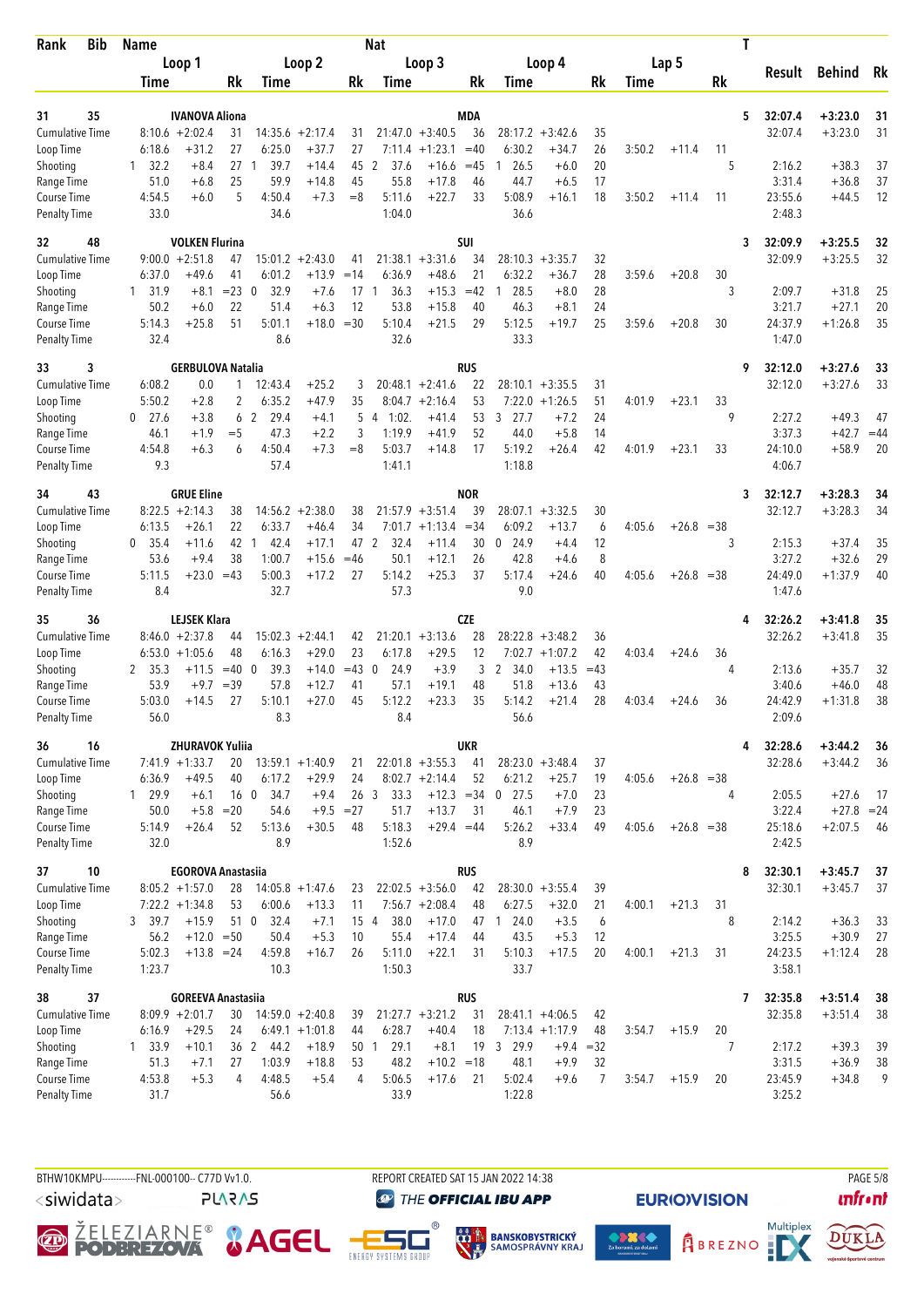| Rank                                | <b>Bib</b> | <b>Name</b>        |                                            |                 |                        |                               |                 | <b>Nat</b>              |                                 |                  |                               |                               |          |        |              |       | Т |                    |                        |          |
|-------------------------------------|------------|--------------------|--------------------------------------------|-----------------|------------------------|-------------------------------|-----------------|-------------------------|---------------------------------|------------------|-------------------------------|-------------------------------|----------|--------|--------------|-------|---|--------------------|------------------------|----------|
|                                     |            |                    | Loop 1                                     |                 |                        | Loop 2                        |                 |                         | Loop 3                          |                  |                               | Loop 4                        |          |        | Lap 5        |       |   |                    | Behind                 |          |
|                                     |            | Time               |                                            | Rk              | Time                   |                               | Rk              | Time                    |                                 | Rk               | Time                          |                               | Rk       | Time   |              | Rk    |   | Result             |                        | Rk       |
|                                     |            |                    |                                            |                 |                        |                               |                 |                         |                                 |                  |                               |                               |          |        |              |       |   |                    |                        |          |
| 31                                  | 35         |                    | <b>IVANOVA Aliona</b>                      |                 |                        |                               |                 |                         |                                 | <b>MDA</b>       |                               |                               |          |        |              |       | 5 | 32:07.4            | $+3:23.0$              | 31       |
| <b>Cumulative Time</b><br>Loop Time |            | 6:18.6             | $8:10.6 + 2:02.4$<br>+31.2                 | 31<br>27        | 6:25.0                 | $14:35.6 + 2:17.4$<br>$+37.7$ | 31<br>27        | 7:11.4                  | $21:47.0 + 3:40.5$<br>$+1:23.1$ | 36<br>$=40$      | 6:30.2                        | $28:17.2 + 3:42.6$<br>$+34.7$ | 35<br>26 | 3:50.2 | $+11.4$      | 11    |   | 32:07.4            | $+3:23.0$              | 31       |
| Shooting                            |            | 32.2<br>1          | $+8.4$                                     | 27              | 39.7<br>$\mathbf{1}$   | $+14.4$                       | 45              | 2<br>37.6               | $+16.6$                         | $=45$            | 26.5                          | $+6.0$                        | 20       |        |              | 5     |   | 2:16.2             | $+38.3$                | 37       |
| Range Time                          |            | 51.0               | $+6.8$                                     | 25              | 59.9                   | $+14.8$                       | 45              | 55.8                    | $+17.8$                         | 46               | 44.7                          | $+6.5$                        | 17       |        |              |       |   | 3:31.4             | $+36.8$                | 37       |
| Course Time                         |            | 4:54.5             | $+6.0$                                     | 5               | 4:50.4                 | $+7.3$                        | $= 8$           | 5:11.6                  | $+22.7$                         | 33               | 5:08.9                        | $+16.1$                       | 18       | 3:50.2 | $+11.4$      | 11    |   | 23:55.6            | $+44.5$                | 12       |
| <b>Penalty Time</b>                 |            | 33.0               |                                            |                 | 34.6                   |                               |                 | 1:04.0                  |                                 |                  | 36.6                          |                               |          |        |              |       |   | 2:48.3             |                        |          |
| 32                                  | 48         |                    | <b>VOLKEN Flurina</b>                      |                 |                        |                               |                 |                         |                                 | <b>SUI</b>       |                               |                               |          |        |              |       | 3 | 32:09.9            | $+3:25.5$              | 32       |
| <b>Cumulative Time</b>              |            |                    | $9:00.0 + 2:51.8$                          | 47              |                        | $15:01.2 +2:43.0$             | 41              | 21:38.1                 | $+3:31.6$                       | 34               |                               | $28:10.3 + 3:35.7$            | 32       |        |              |       |   | 32:09.9            | $+3:25.5$              | 32       |
| Loop Time                           |            | 6:37.0             | +49.6                                      | 41              | 6:01.2                 | $+13.9$                       | $=14$           | 6:36.9                  | $+48.6$                         | 21               | 6:32.2                        | $+36.7$                       | 28       | 3:59.6 | $+20.8$      | 30    |   |                    |                        |          |
| Shooting                            |            | 1 31.9             | $+8.1$                                     | $= 23 \ 0$      | 32.9                   | $+7.6$                        | 17              | 36.3<br>1               | $+15.3$                         | $=42$            | 28.5<br>1                     | $+8.0$                        | 28       |        |              | 3     |   | 2:09.7             | $+31.8$                | 25       |
| Range Time                          |            | 50.2               | $+6.0$                                     | 22              | 51.4                   | $+6.3$                        | 12              | 53.8                    | $+15.8$                         | 40               | 46.3                          | $+8.1$                        | 24       |        |              |       |   | 3:21.7<br>24:37.9  | $+27.1$                | 20       |
| Course Time<br><b>Penalty Time</b>  |            | 5:14.3<br>32.4     | $+25.8$                                    | 51              | 5:01.1<br>8.6          | $+18.0 = 30$                  |                 | 5:10.4<br>32.6          | $+21.5$                         | 29               | 5:12.5<br>33.3                | $+19.7$                       | 25       | 3:59.6 | $+20.8$      | 30    |   | 1:47.0             | $+1:26.8$              | 35       |
| 33<br>3                             |            |                    | <b>GERBULOVA Natalia</b>                   |                 |                        |                               |                 |                         |                                 | <b>RUS</b>       |                               |                               |          |        |              |       | 9 | 32:12.0            | $+3:27.6$              | 33       |
| <b>Cumulative Time</b>              |            | 6:08.2             | 0.0                                        | 1               | 12:43.4                | $+25.2$                       | 3               |                         | $20:48.1 + 2:41.6$              | 22               | 28:10.1                       | $+3:35.5$                     | 31       |        |              |       |   | 32:12.0            | $+3:27.6$              | 33       |
| Loop Time                           |            | 5:50.2             | $+2.8$                                     | $\overline{2}$  | 6:35.2                 | $+47.9$                       | 35              |                         | $8:04.7 +2:16.4$                | 53               | 7:22.0                        | $+1:26.5$                     | 51       | 4:01.9 | $+23.1$      | 33    |   |                    |                        |          |
| Shooting                            |            | $0$ 27.6           | $+3.8$                                     | 6               | 29.4<br>$\overline{2}$ | $+4.1$                        | 5               | 1:02.<br>$\overline{4}$ | $+41.4$                         | 53               | 3 27.7                        | $+7.2$                        | 24       |        |              | 9     |   | 2:27.2             | $+49.3$                | 47       |
| Range Time                          |            | 46.1               | $+1.9$                                     | $=$ 5           | 47.3                   | $+2.2$                        | 3               | 1:19.9                  | $+41.9$                         | 52               | 44.0                          | $+5.8$                        | 14       |        |              |       |   | 3:37.3             | $+42.7$                | $=44$    |
| Course Time                         |            | 4:54.8             | $+6.3$                                     | 6               | 4:50.4                 | $+7.3$                        | $=8$            | 5:03.7                  | $+14.8$                         | 17               | 5:19.2                        | $+26.4$                       | 42       | 4:01.9 | $+23.1$      | 33    |   | 24:10.0            | $+58.9$                | 20       |
| <b>Penalty Time</b>                 |            | 9.3                |                                            |                 | 57.4                   |                               |                 | 1:41.1                  |                                 |                  | 1:18.8                        |                               |          |        |              |       |   | 4:06.7             |                        |          |
| 34                                  | 43         |                    | <b>GRUE Eline</b>                          |                 |                        |                               |                 |                         |                                 | <b>NOR</b>       |                               |                               |          |        |              |       | 3 | 32:12.7            | $+3:28.3$              | 34       |
| <b>Cumulative Time</b>              |            |                    | $8:22.5 +2:14.3$                           | 38              |                        | $14:56.2 + 2:38.0$            | 38              |                         | $21:57.9 + 3:51.4$              | 39               |                               | $28:07.1 + 3:32.5$            | 30       |        |              |       |   | 32:12.7            | $+3:28.3$              | 34       |
| Loop Time<br>Shooting               |            | 6:13.5<br>$0$ 35.4 | $+26.1$<br>+11.6                           | 22<br>42        | 6:33.7<br>42.4<br>-1   | $+46.4$<br>$+17.1$            | 34<br>47        | 2<br>32.4               | $7:01.7 +1:13.4$<br>$+11.4$     | $= 34$<br>30     | 6:09.2<br>$\mathbf 0$<br>24.9 | $+13.7$<br>$+4.4$             | 6<br>12  | 4:05.6 | $+26.8 = 38$ | 3     |   | 2:15.3             | $+37.4$                | 35       |
| Range Time                          |            | 53.6               | $+9.4$                                     | 38              | 1:00.7                 | $+15.6$                       | $=46$           | 50.1                    | $+12.1$                         | 26               | 42.8                          | $+4.6$                        | 8        |        |              |       |   | 3:27.2             | $+32.6$                | 29       |
| Course Time                         |            | 5:11.5             | $+23.0$                                    | $=43$           | 5:00.3                 | $+17.2$                       | 27              | 5:14.2                  | $+25.3$                         | 37               | 5:17.4                        | $+24.6$                       | 40       | 4:05.6 | $+26.8$      | $=38$ |   | 24:49.0            | $+1:37.9$              | 40       |
| <b>Penalty Time</b>                 |            | 8.4                |                                            |                 | 32.7                   |                               |                 | 57.3                    |                                 |                  | 9.0                           |                               |          |        |              |       |   | 1:47.6             |                        |          |
| 35                                  | 36         |                    | <b>LEJSEK Klara</b>                        |                 |                        |                               |                 |                         |                                 | <b>CZE</b>       |                               |                               |          |        |              |       | 4 | 32:26.2            | $+3:41.8$              | 35       |
| <b>Cumulative Time</b>              |            |                    | $8:46.0 + 2:37.8$                          | 44              | 15:02.3                | $+2:44.1$                     | 42              |                         | $21:20.1 + 3:13.6$              | 28               | 28:22.8                       | $+3:48.2$                     | 36       |        |              |       |   | 32:26.2            | $+3:41.8$              | 35       |
| Loop Time                           |            |                    | $6:53.0 +1:05.6$                           | 48              | 6:16.3                 | $+29.0$                       | 23              | 6:17.8                  | $+29.5$                         | 12               | 7:02.7                        | $+1:07.2$                     | 42       | 4:03.4 | $+24.6$      | 36    |   |                    |                        |          |
| Shooting                            |            | 2 35.3             | $+11.5$                                    | $=40$           | 39.3<br>$\mathbf 0$    | $+14.0$                       | $=43$           | 24.9<br>$\mathbf 0$     | $+3.9$                          | 3                | $\mathbf{2}$<br>34.0          | $+13.5$                       | $=43$    |        |              | 4     |   | 2:13.6             | $+35.7$                | 32       |
| Range Time                          |            | 53.9               | $+9.7$                                     | $=39$           | 57.8                   | $+12.7$                       | 41              | 57.1                    | $+19.1$                         | 48               | 51.8                          | $+13.6$                       | 43       |        |              |       |   | 3:40.6             | $+46.0$                | 48       |
| Course Time<br><b>Penalty Time</b>  |            | 5:03.0<br>56.0     | $+14.5$                                    | 27              | 5:10.1<br>8.3          | $+27.0$                       | 45              | 5:12.2<br>8.4           | $+23.3$                         | 35               | 5:14.2<br>56.6                | $+21.4$                       | 28       | 4:03.4 | $+24.6$      | 36    |   | 24:42.9<br>2:09.6  | $+1:31.8$              | 38       |
|                                     |            |                    |                                            |                 |                        |                               |                 |                         |                                 |                  |                               |                               |          |        |              |       |   |                    |                        |          |
| 36<br><b>Cumulative Time</b>        | 16         |                    | <b>ZHURAVOK Yuliia</b><br>$7:41.9 +1:33.7$ | 20              |                        | $13:59.1 + 1:40.9$            | 21              |                         | $22:01.8 + 3:55.3$              | <b>UKR</b><br>41 |                               | $28:23.0 + 3:48.4$            | 37       |        |              |       | 4 | 32:28.6<br>32:28.6 | $+3:44.2$<br>$+3:44.2$ | 36<br>36 |
| Loop Time                           |            | 6:36.9             | $+49.5$                                    | 40              | 6:17.2                 | $+29.9$                       | 24              |                         | $8:02.7 +2:14.4$                | 52               | 6:21.2                        | $+25.7$                       | 19       | 4:05.6 | $+26.8 = 38$ |       |   |                    |                        |          |
| Shooting                            |            | 1 29.9             | $+6.1$                                     | 16 <sub>0</sub> | 34.7                   | $+9.4$                        | 26 <sub>3</sub> | 33.3                    | $+12.3 = 34$                    |                  | $0$ 27.5                      | $+7.0$                        | 23       |        |              | 4     |   | 2:05.5             | $+27.6$                | - 17     |
| Range Time                          |            | 50.0               | $+5.8$                                     | $=20$           | 54.6                   | $+9.5$                        | $=27$           | 51.7                    | $+13.7$                         | 31               | 46.1                          | $+7.9$                        | 23       |        |              |       |   | 3:22.4             | $+27.8 = 24$           |          |
| Course Time                         |            | 5:14.9             | $+26.4$                                    | 52              | 5:13.6                 | $+30.5$                       | 48              | 5:18.3                  | $+29.4 = 44$                    |                  | 5:26.2                        | $+33.4$                       | 49       | 4:05.6 | $+26.8 = 38$ |       |   | 25:18.6            | $+2:07.5$              | - 46     |
| <b>Penalty Time</b>                 |            | 32.0               |                                            |                 | 8.9                    |                               |                 | 1:52.6                  |                                 |                  | 8.9                           |                               |          |        |              |       |   | 2:42.5             |                        |          |
| 37                                  | 10         |                    | <b>EGOROVA Anastasiia</b>                  |                 |                        |                               |                 |                         |                                 | <b>RUS</b>       |                               |                               |          |        |              |       | 8 | 32:30.1            | $+3:45.7$              | 37       |
| <b>Cumulative Time</b>              |            |                    | $8:05.2 +1:57.0$                           | 28              |                        | $14:05.8 +1:47.6$             | 23              |                         | $22:02.5 + 3:56.0$              | 42               |                               | $28:30.0 + 3:55.4$            | 39       |        |              |       |   | 32:30.1            | $+3:45.7$              | 37       |
| Loop Time                           |            |                    | $7:22.2 +1:34.8$                           | 53              | 6:00.6                 | $+13.3$                       | 11              |                         | $7:56.7 +2:08.4$                | 48               | 6:27.5                        | $+32.0$                       | 21       | 4:00.1 | $+21.3$      | 31    |   |                    |                        |          |
| Shooting                            |            | 3 39.7<br>56.2     | $+15.9$<br>$+12.0 = 50$                    | 51 0            | 32.4<br>50.4           | $+7.1$<br>$+5.3$              | 15 4<br>10      | 38.0<br>55.4            | $+17.0$                         |                  | 47 1 24.0<br>43.5             | $+3.5$<br>$+5.3$              | 6        |        |              | 8     |   | 2:14.2<br>3:25.5   | $+36.3$<br>$+30.9$     | 33<br>27 |
| Range Time<br>Course Time           |            | 5:02.3             | $+13.8 = 24$                               |                 | 4:59.8                 | $+16.7$                       | 26              | 5:11.0                  | $+17.4$<br>$+22.1$              | 44<br>31         | 5:10.3                        | $+17.5$                       | 12<br>20 | 4:00.1 | $+21.3$      | 31    |   | 24:23.5            | $+1:12.4$              | 28       |
| <b>Penalty Time</b>                 |            | 1:23.7             |                                            |                 | 10.3                   |                               |                 | 1:50.3                  |                                 |                  | 33.7                          |                               |          |        |              |       |   | 3:58.1             |                        |          |
| 38                                  | 37         |                    | <b>GOREEVA Anastasiia</b>                  |                 |                        |                               |                 |                         |                                 | <b>RUS</b>       |                               |                               |          |        |              |       | 7 | 32:35.8            | $+3:51.4$              | -38      |
| <b>Cumulative Time</b>              |            |                    | $8:09.9 + 2:01.7$                          | 30              |                        | $14:59.0 + 2:40.8$            | 39              |                         | $21:27.7 + 3:21.2$              | 31               |                               | $28:41.1 +4:06.5$             | 42       |        |              |       |   | 32:35.8            | $+3:51.4$              | 38       |
| Loop Time                           |            | 6:16.9             | $+29.5$                                    | 24              |                        | $6:49.1 +1:01.8$              | 44              | 6:28.7                  | $+40.4$                         | 18               |                               | $7:13.4 +1:17.9$              | 48       | 3:54.7 | $+15.9$      | 20    |   |                    |                        |          |
| Shooting                            |            | 1, 33.9            | $+10.1$                                    |                 | 36 2 44.2              | $+18.9$                       |                 | 29.1<br>50 1            | $+8.1$                          |                  | 19 3 29.9                     | $+9.4 = 32$                   |          |        |              | 7     |   | 2:17.2             | $+39.3$                | 39       |
| Range Time                          |            | 51.3               | $+7.1$                                     | 27              | 1:03.9                 | $+18.8$                       | 53              | 48.2                    | $+10.2 = 18$                    |                  | 48.1                          | $+9.9$                        | 32       |        |              |       |   | 3:31.5             | $+36.9$                | 38       |
| Course Time                         |            | 4:53.8             | $+5.3$                                     | 4               | 4:48.5                 | $+5.4$                        | 4               | 5:06.5                  | $+17.6$                         | 21               | 5:02.4                        | $+9.6$                        | 7        | 3:54.7 | $+15.9$      | 20    |   | 23:45.9            | $+34.8$                | 9        |
| <b>Penalty Time</b>                 |            | 31.7               |                                            |                 | 56.6                   |                               |                 | 33.9                    |                                 |                  | 1:22.8                        |                               |          |        |              |       |   | 3:25.2             |                        |          |

BTHW10KMPU-----------FNL-000100-- C77D Vv1.0.

<siwidata>

**PLARAS** 

REPORT CREATED SAT 15 JAN 2022 14:38 **THE OFFICIAL IBU APP** 









**EURIO)VISION** 





**PAGE 5/8**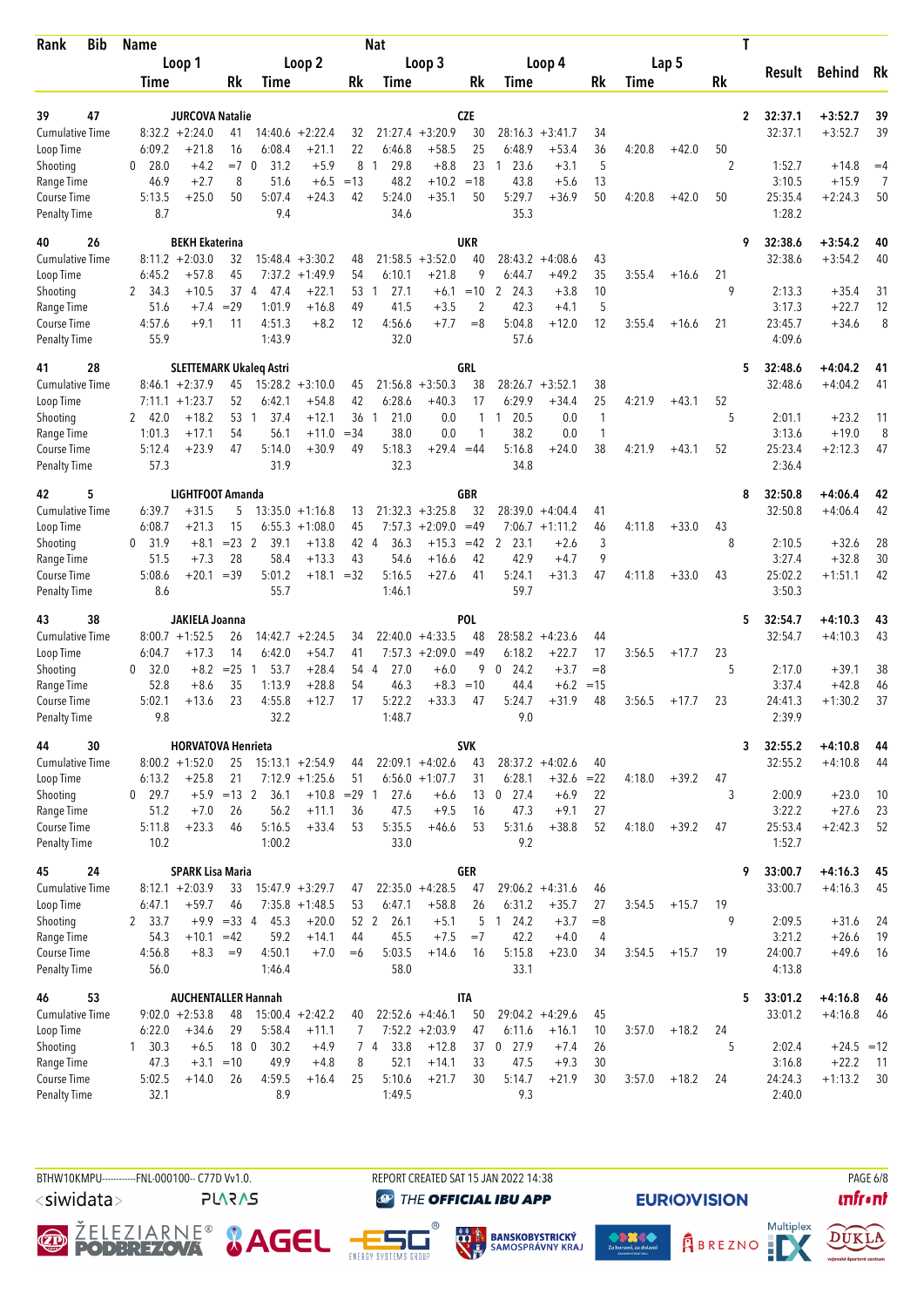| <b>Bib</b><br>Rank                  | <b>Name</b>            |                                              |                                |                                |                                 |            | Nat                  |                                 |                        |                      |                                       |               |        |         |    | Τ              |                    |                         |          |
|-------------------------------------|------------------------|----------------------------------------------|--------------------------------|--------------------------------|---------------------------------|------------|----------------------|---------------------------------|------------------------|----------------------|---------------------------------------|---------------|--------|---------|----|----------------|--------------------|-------------------------|----------|
|                                     |                        | Loop 1                                       |                                |                                | Loop 2                          |            |                      | Loop 3                          |                        |                      | Loop 4                                |               |        | Lap 5   |    |                | Result             | <b>Behind</b>           | Rk       |
|                                     | Time                   |                                              | Rk                             | Time                           |                                 | Rk         | Time                 |                                 | Rk                     | Time                 |                                       | Rk            | Time   |         | Rk |                |                    |                         |          |
|                                     |                        |                                              |                                |                                |                                 |            |                      |                                 |                        |                      |                                       |               |        |         |    |                |                    |                         |          |
| 47<br>39<br><b>Cumulative Time</b>  |                        | <b>JURCOVA Natalie</b><br>$8:32.2 +2:24.0$   | 41                             | 14:40.6                        | $+2:22.4$                       | 32         |                      | $21:27.4 +3:20.9$               | <b>CZE</b><br>30       |                      | $28:16.3 + 3:41.7$                    | 34            |        |         |    | $\overline{2}$ | 32:37.1<br>32:37.1 | $+3:52.7$<br>$+3:52.7$  | 39<br>39 |
| Loop Time                           | 6:09.2                 | $+21.8$                                      | 16                             | 6:08.4                         | $+21.1$                         | 22         | 6:46.8               | $+58.5$                         | 25                     | 6:48.9               | $+53.4$                               | 36            | 4:20.8 | $+42.0$ | 50 |                |                    |                         |          |
| Shooting                            | 28.0<br>0              | $+4.2$                                       | $=7$                           | 31.2<br>- 0                    | $+5.9$                          | 8          | 29.8<br>$\mathbf{1}$ | $+8.8$                          | 23                     | 23.6<br>$\mathbf{1}$ | $+3.1$                                | 5             |        |         | 2  |                | 1:52.7             | $+14.8$                 | $=4$     |
| Range Time                          | 46.9                   | $+2.7$                                       | 8                              | 51.6                           | $+6.5$                          | $=13$      | 48.2                 | $+10.2$                         | $=18$                  | 43.8                 | $+5.6$                                | 13            |        |         |    |                | 3:10.5             | $+15.9$                 | 7        |
| Course Time                         | 5:13.5                 | $+25.0$                                      | 50                             | 5:07.4                         | $+24.3$                         | 42         | 5:24.0               | $+35.1$                         | 50                     | 5:29.7               | $+36.9$                               | 50            | 4:20.8 | $+42.0$ | 50 |                | 25:35.4            | $+2:24.3$               | 50       |
| <b>Penalty Time</b>                 | 8.7                    |                                              |                                | 9.4                            |                                 |            | 34.6                 |                                 |                        | 35.3                 |                                       |               |        |         |    |                | 1:28.2             |                         |          |
| 26<br>40                            |                        | <b>BEKH Ekaterina</b>                        |                                |                                |                                 |            |                      |                                 | UKR                    |                      |                                       |               |        |         |    | 9              | 32:38.6            | $+3:54.2$               | 40       |
| Cumulative Time                     |                        | $8:11.2 + 2:03.0$                            | 32                             |                                | $15:48.4 + 3:30.2$              | 48         | 21:58.5              | $+3:52.0$                       | 40                     |                      | $28:43.2 +4:08.6$                     | 43            |        |         |    |                | 32:38.6            | $+3:54.2$               | 40       |
| Loop Time                           | 6:45.2                 | $+57.8$                                      | 45                             |                                | $7:37.2 +1:49.9$                | 54         | 6:10.1               | $+21.8$                         | 9                      | 6:44.7               | $+49.2$                               | 35            | 3:55.4 | $+16.6$ | 21 |                |                    |                         |          |
| Shooting                            | 34.3<br>2              | $+10.5$                                      | 37                             | 47.4<br>$\overline{4}$         | $+22.1$                         | 53<br>49   | 27.1<br>-1           | $+6.1$                          | $=10$                  | 2<br>24.3<br>42.3    | $+3.8$                                | 10<br>5       |        |         | 9  |                | 2:13.3             | $+35.4$                 | 31       |
| Range Time<br>Course Time           | 51.6<br>4:57.6         | $+7.4$<br>$+9.1$                             | $=29$<br>11                    | 1:01.9<br>4:51.3               | $+16.8$<br>$+8.2$               | 12         | 41.5<br>4:56.6       | $+3.5$<br>$+7.7$                | $\overline{2}$<br>$=8$ | 5:04.8               | $+4.1$<br>$+12.0$                     | 12            | 3:55.4 | $+16.6$ | 21 |                | 3:17.3<br>23:45.7  | $+22.7$<br>$+34.6$      | 12<br>8  |
| <b>Penalty Time</b>                 | 55.9                   |                                              |                                | 1:43.9                         |                                 |            | 32.0                 |                                 |                        | 57.6                 |                                       |               |        |         |    |                | 4:09.6             |                         |          |
| 28<br>41                            |                        |                                              |                                | <b>SLETTEMARK Ukaleq Astri</b> |                                 |            |                      |                                 | GRL                    |                      |                                       |               |        |         |    | 5              | 32:48.6            | $+4:04.2$               | 41       |
| <b>Cumulative Time</b>              |                        | $8:46.1 + 2:37.9$                            | 45                             |                                | $15:28.2 + 3:10.0$              | 45         | 21:56.8              | $+3:50.3$                       | 38                     | 28:26.7              | $+3:52.1$                             | 38            |        |         |    |                | 32:48.6            | $+4:04.2$               | 41       |
| Loop Time                           |                        | $7:11.1 + 1:23.7$                            | 52                             | 6:42.1                         | $+54.8$                         | 42         | 6:28.6               | $+40.3$                         | 17                     | 6:29.9               | $+34.4$                               | 25            | 4:21.9 | $+43.1$ | 52 |                |                    |                         |          |
| Shooting                            | 2, 42.0                | $+18.2$                                      | 53                             | 37.4<br>-1                     | $+12.1$                         | 36         | 21.0<br>-1           | 0.0                             | $\mathbf{1}$           | 20.5<br>1            | 0.0                                   | $\mathbf{1}$  |        |         | 5  |                | 2:01.1             | $+23.2$                 | 11       |
| Range Time                          | 1:01.3                 | $+17.1$                                      | 54                             | 56.1                           | $+11.0$                         | $= 34$     | 38.0                 | 0.0                             | 1                      | 38.2                 | 0.0                                   | $\mathbf{1}$  |        |         |    |                | 3:13.6             | $+19.0$                 | 8        |
| Course Time                         | 5:12.4<br>57.3         | $+23.9$                                      | 47                             | 5:14.0<br>31.9                 | $+30.9$                         | 49         | 5:18.3<br>32.3       | $+29.4 = 44$                    |                        | 5:16.8<br>34.8       | $+24.0$                               | 38            | 4:21.9 | $+43.1$ | 52 |                | 25:23.4<br>2:36.4  | $+2:12.3$               | 47       |
| <b>Penalty Time</b>                 |                        |                                              |                                |                                |                                 |            |                      |                                 |                        |                      |                                       |               |        |         |    |                |                    |                         |          |
| 5<br>42                             |                        | LIGHTFOOT Amanda                             |                                |                                |                                 |            |                      |                                 | GBR                    |                      |                                       |               |        |         |    | 8              | 32:50.8            | $+4:06.4$               | 42       |
| <b>Cumulative Time</b><br>Loop Time | 6:39.7<br>6:08.7       | $+31.5$<br>$+21.3$                           | 5<br>15                        | 6:55.3                         | $13:35.0 + 1:16.8$<br>$+1:08.0$ | 13<br>45   | 7:57.3               | $21:32.3 + 3:25.8$<br>$+2:09.0$ | 32<br>$=49$            |                      | $28:39.0 +4:04.4$<br>$7:06.7 +1:11.2$ | 41<br>46      | 4:11.8 | $+33.0$ | 43 |                | 32:50.8            | $+4:06.4$               | 42       |
| Shooting                            | 31.9<br>0              | $+8.1$                                       | $= 23$ 2                       | 39.1                           | $+13.8$                         | 42 4       | 36.3                 | $+15.3$                         | $=42$                  | 2<br>23.1            | $+2.6$                                | 3             |        |         | 8  |                | 2:10.5             | $+32.6$                 | 28       |
| Range Time                          | 51.5                   | $+7.3$                                       | 28                             | 58.4                           | $+13.3$                         | 43         | 54.6                 | $+16.6$                         | 42                     | 42.9                 | $+4.7$                                | 9             |        |         |    |                | 3:27.4             | $+32.8$                 | 30       |
| Course Time                         | 5:08.6                 | $+20.1$                                      | $=39$                          | 5:01.2                         | $+18.1$                         | $=32$      | 5:16.5               | $+27.6$                         | 41                     | 5:24.1               | $+31.3$                               | 47            | 4:11.8 | $+33.0$ | 43 |                | 25:02.2            | $+1:51.1$               | 42       |
| <b>Penalty Time</b>                 | 8.6                    |                                              |                                | 55.7                           |                                 |            | 1:46.1               |                                 |                        | 59.7                 |                                       |               |        |         |    |                | 3:50.3             |                         |          |
| 38<br>43                            |                        | JAKIELA Joanna                               |                                |                                |                                 |            |                      |                                 | POL                    |                      |                                       |               |        |         |    | 5              | 32:54.7            | $+4:10.3$               | 43       |
| <b>Cumulative Time</b>              |                        | $8:00.7 + 1:52.5$                            | 26                             |                                | $14:42.7 + 2:24.5$              | 34         |                      | $22:40.0 +4:33.5$               | 48                     | 28:58.2              | $+4:23.6$                             | 44            |        |         |    |                | 32:54.7            | $+4:10.3$               | 43       |
| Loop Time                           | 6:04.7                 | $+17.3$                                      | 14                             | 6:42.0                         | $+54.7$                         | 41         |                      | $7:57.3 +2:09.0$                | $=49$                  | 6:18.2               | $+22.7$                               | 17            | 3:56.5 | $+17.7$ | 23 |                |                    |                         |          |
| Shooting<br>Range Time              | 32.0<br>0<br>52.8      | $+8.2$<br>$+8.6$                             | $= 25$<br>35                   | 53.7<br>-1<br>1:13.9           | $+28.4$<br>$+28.8$              | 54 4<br>54 | 27.0<br>46.3         | $+6.0$<br>$+8.3$                | 9<br>$=10$             | 24.2<br>0<br>44.4    | $+3.7$<br>$+6.2$                      | $=8$<br>$=15$ |        |         | 5  |                | 2:17.0<br>3:37.4   | $+39.1$<br>$+42.8$      | 38<br>46 |
| Course Time                         | 5:02.1                 | $+13.6$                                      | 23                             | 4:55.8                         | $+12.7$                         | 17         | 5:22.2               | $+33.3$                         | 47                     | 5:24.7               | $+31.9$                               | 48            | 3:56.5 | $+17.7$ | 23 |                | 24:41.3            | $+1:30.2$               | 37       |
| <b>Penalty Time</b>                 | 9.8                    |                                              |                                | 32.2                           |                                 |            | 1:48.7               |                                 |                        | 9.0                  |                                       |               |        |         |    |                | 2:39.9             |                         |          |
| 44<br>30                            |                        | <b>HORVATOVA Henrieta</b>                    |                                |                                |                                 |            |                      |                                 | <b>SVK</b>             |                      |                                       |               |        |         |    | 3              | 32:55.2            | $+4:10.8$               | 44       |
| <b>Cumulative Time</b>              |                        | $8:00.2 + 1:52.0$                            | 25                             |                                | $15:13.1 + 2:54.9$              | 44         |                      | $22:09.1 +4:02.6$               | 43                     |                      | $28:37.2 +4:02.6$                     | 40            |        |         |    |                | 32:55.2            | $+4:10.8$               | 44       |
| Loop Time                           | 6:13.2                 | $+25.8$                                      | 21                             |                                | $7:12.9 +1:25.6$                | 51         |                      | $6:56.0 + 1:07.7$               | 31                     | 6:28.1               | $+32.6$                               | $= 22$        | 4:18.0 | $+39.2$ | 47 |                |                    |                         |          |
| Shooting                            | $0$ 29.7               |                                              | $+5.9$ = 13 2                  | 36.1                           | $+10.8$ = 29 1                  |            | 27.6                 | $+6.6$                          | 13                     | $0$ 27.4             | $+6.9$                                | 22            |        |         | 3  |                | 2:00.9             | $+23.0$                 | 10       |
| Range Time                          | 51.2                   | $+7.0$                                       | 26                             | 56.2                           | $+11.1$                         | 36         | 47.5                 | $+9.5$                          | 16                     | 47.3                 | $+9.1$                                | 27            |        |         |    |                | 3:22.2             | $+27.6$                 | 23       |
| Course Time<br><b>Penalty Time</b>  | 5:11.8<br>10.2         | $+23.3$                                      | 46                             | 5:16.5<br>1:00.2               | $+33.4$                         | 53         | 5:35.5<br>33.0       | $+46.6$                         | 53                     | 5:31.6<br>9.2        | $+38.8$                               | 52            | 4:18.0 | $+39.2$ | 47 |                | 25:53.4<br>1:52.7  | $+2:42.3$               | 52       |
|                                     |                        |                                              |                                |                                |                                 |            |                      |                                 |                        |                      |                                       |               |        |         |    |                |                    |                         |          |
| 24<br>45<br><b>Cumulative Time</b>  |                        | <b>SPARK Lisa Maria</b><br>$8:12.1 + 2:03.9$ |                                |                                | $15:47.9 + 3:29.7$              |            |                      | $22:35.0 +4:28.5$               | GER<br>47              |                      | $29:06.2 +4:31.6$                     | 46            |        |         |    | 9              | 33:00.7<br>33:00.7 | $+4:16.3$<br>$+4:16.3$  | 45<br>45 |
| Loop Time                           | 6:47.1                 | $+59.7$                                      | 33<br>46                       |                                | $7:35.8 +1:48.5$                | 47<br>53   | 6:47.1               | $+58.8$                         | 26                     | 6:31.2               | $+35.7$                               | 27            | 3:54.5 | $+15.7$ | 19 |                |                    |                         |          |
| Shooting                            | 2 33.7                 |                                              | $+9.9 = 334$                   | 45.3                           | $+20.0$                         | 52 2       | 26.1                 | $+5.1$                          | 5                      | 124.2                | $+3.7$                                | $=8$          |        |         | 9  |                | 2:09.5             | $+31.6$                 | 24       |
| Range Time                          | 54.3                   | +10.1                                        | $=42$                          | 59.2                           | $+14.1$                         | 44         | 45.5                 | $+7.5$                          | $=7$                   | 42.2                 | $+4.0$                                | 4             |        |         |    |                | 3:21.2             | $+26.6$                 | 19       |
| Course Time                         | 4:56.8                 | $+8.3$                                       | $=9$                           | 4:50.1                         | $+7.0$                          | $=6$       | 5:03.5               | $+14.6$                         | 16                     | 5:15.8               | $+23.0$                               | 34            | 3:54.5 | $+15.7$ | 19 |                | 24:00.7            | $+49.6$                 | 16       |
| <b>Penalty Time</b>                 | 56.0                   |                                              |                                | 1:46.4                         |                                 |            | 58.0                 |                                 |                        | 33.1                 |                                       |               |        |         |    |                | 4:13.8             |                         |          |
| 53<br>46                            |                        | <b>AUCHENTALLER Hannah</b>                   |                                |                                |                                 |            |                      |                                 | <b>ITA</b>             |                      |                                       |               |        |         |    | 5              | 33:01.2            | $+4:16.8$               | - 46     |
| <b>Cumulative Time</b>              |                        | $9:02.0 + 2:53.8$                            | 48                             |                                | $15:00.4 +2:42.2$               | 40         |                      | $22:52.6 +4:46.1$               | 50                     |                      | $29:04.2 +4:29.6$                     | 45            |        |         |    |                | 33:01.2            | $+4:16.8$               | -46      |
| Loop Time                           | 6:22.0                 | $+34.6$                                      | 29                             | 5:58.4                         | $+11.1$                         | 7          |                      | $7:52.2 +2:03.9$                | 47                     | 6:11.6               | $+16.1$                               | 10            | 3:57.0 | $+18.2$ | 24 |                |                    |                         |          |
| Shooting<br>Range Time              | $1 \quad 30.3$<br>47.3 | $+6.5$                                       | 18 <sub>0</sub><br>$+3.1 = 10$ | 30.2<br>49.9                   | $+4.9$<br>$+4.8$                | 8          | 33.8<br>74<br>52.1   | $+12.8$<br>$+14.1$              | 37<br>33               | $0$ 27.9<br>47.5     | $+7.4$<br>$+9.3$                      | 26<br>30      |        |         | 5  |                | 2:02.4<br>3:16.8   | $+24.5 = 12$<br>$+22.2$ | - 11     |
| Course Time                         | 5:02.5                 | $+14.0$                                      | 26                             | 4:59.5                         | $+16.4$                         | 25         | 5:10.6               | $+21.7$                         | 30                     | 5:14.7               | $+21.9$                               | 30            | 3:57.0 | $+18.2$ | 24 |                | 24:24.3            | $+1:13.2$               | 30       |
| <b>Penalty Time</b>                 | 32.1                   |                                              |                                | 8.9                            |                                 |            | 1:49.5               |                                 |                        | 9.3                  |                                       |               |        |         |    |                | 2:40.0             |                         |          |
|                                     |                        |                                              |                                |                                |                                 |            |                      |                                 |                        |                      |                                       |               |        |         |    |                |                    |                         |          |

BTHW10KMPU-----------FNL-000100-- C77D W1.0. REPORT CREATED SAT 15 JAN 2022 14:38 REPORT CREATED SAT 15 JAN 2022 14:38

<siwidata>

**PLARAS** 

**THE OFFICIAL IBU APP** 

 $^{\circ}$ 







**EURIO)VISION** 

*<u><u>Infront</u>*</u>

DUKLA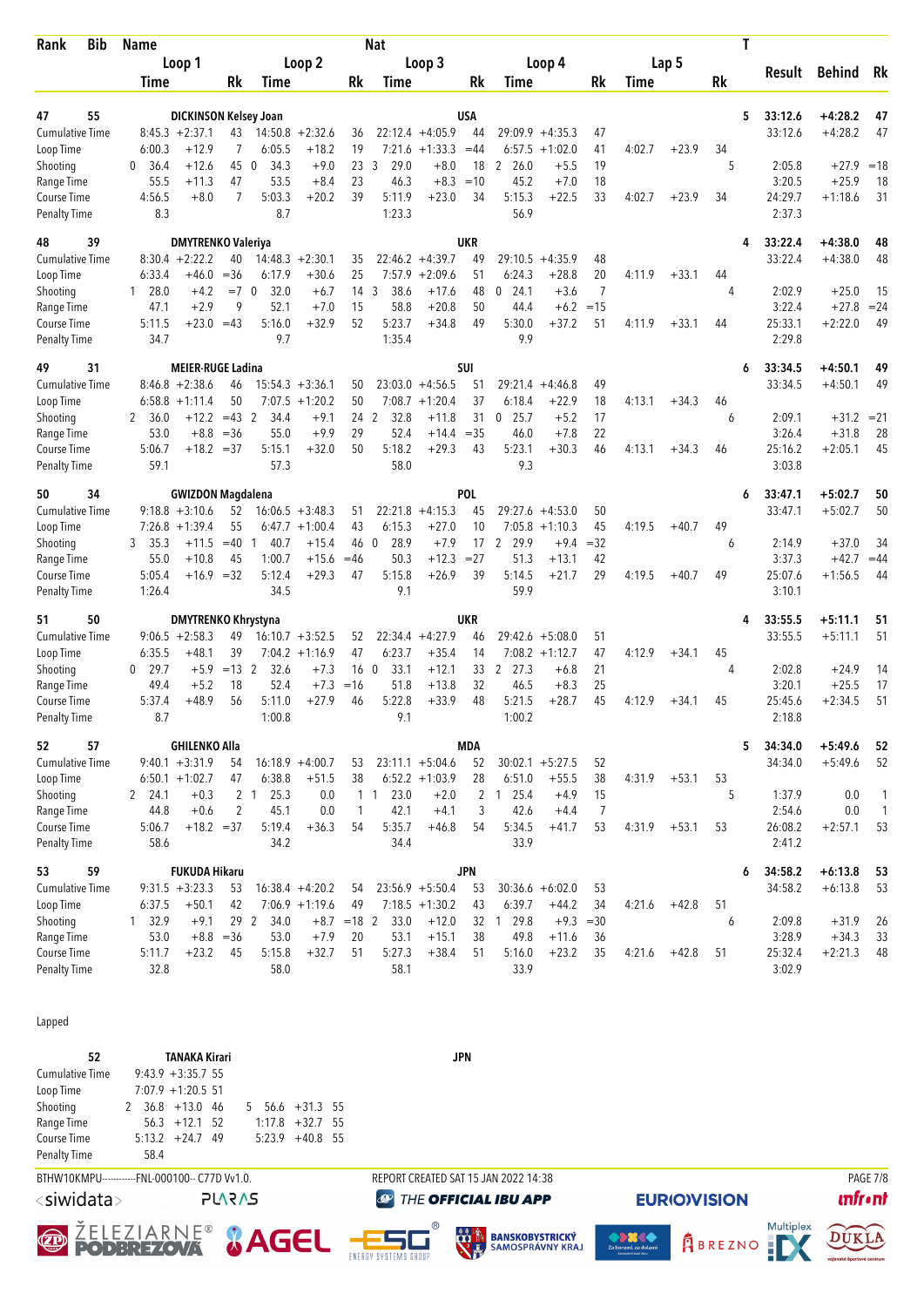| Time<br>6:00.3<br>-36.4<br>0<br>55.5<br>4:56.5<br>8.3 | Loop 1<br><b>DICKINSON Kelsey Joan</b><br>$8:45.3 +2:37.1$<br>$+12.9$<br>$+12.6$<br>$+11.3$ | Rk<br>43<br>$\overline{7}$                                                                                                                                                                                                                                                                                                 | Time                                                                                                                                                     | Loop 2                                                                                                                                                                                                                                                | Rk                                                                                                                                                                                                                                                                                    | Time                                                                           | Loop 3                                                                                                                                                                      | Rk                                                                                                                                                                                                                                                                                         |                                                                                                                                                    | Loop 4                                                                                                                                              | Rk                                                                                                                                                                                                                                             | Time                                                                                                       | Lap 5                                          | Rk                                                             | Result                                         | Behind                                                                                                                                                                    | Rk                                                                                                                                                                  |
|-------------------------------------------------------|---------------------------------------------------------------------------------------------|----------------------------------------------------------------------------------------------------------------------------------------------------------------------------------------------------------------------------------------------------------------------------------------------------------------------------|----------------------------------------------------------------------------------------------------------------------------------------------------------|-------------------------------------------------------------------------------------------------------------------------------------------------------------------------------------------------------------------------------------------------------|---------------------------------------------------------------------------------------------------------------------------------------------------------------------------------------------------------------------------------------------------------------------------------------|--------------------------------------------------------------------------------|-----------------------------------------------------------------------------------------------------------------------------------------------------------------------------|--------------------------------------------------------------------------------------------------------------------------------------------------------------------------------------------------------------------------------------------------------------------------------------------|----------------------------------------------------------------------------------------------------------------------------------------------------|-----------------------------------------------------------------------------------------------------------------------------------------------------|------------------------------------------------------------------------------------------------------------------------------------------------------------------------------------------------------------------------------------------------|------------------------------------------------------------------------------------------------------------|------------------------------------------------|----------------------------------------------------------------|------------------------------------------------|---------------------------------------------------------------------------------------------------------------------------------------------------------------------------|---------------------------------------------------------------------------------------------------------------------------------------------------------------------|
|                                                       |                                                                                             |                                                                                                                                                                                                                                                                                                                            |                                                                                                                                                          |                                                                                                                                                                                                                                                       |                                                                                                                                                                                                                                                                                       |                                                                                |                                                                                                                                                                             |                                                                                                                                                                                                                                                                                            |                                                                                                                                                    |                                                                                                                                                     |                                                                                                                                                                                                                                                |                                                                                                            |                                                |                                                                |                                                |                                                                                                                                                                           |                                                                                                                                                                     |
|                                                       |                                                                                             |                                                                                                                                                                                                                                                                                                                            |                                                                                                                                                          |                                                                                                                                                                                                                                                       |                                                                                                                                                                                                                                                                                       |                                                                                |                                                                                                                                                                             |                                                                                                                                                                                                                                                                                            | Time                                                                                                                                               |                                                                                                                                                     |                                                                                                                                                                                                                                                |                                                                                                            |                                                |                                                                |                                                |                                                                                                                                                                           |                                                                                                                                                                     |
|                                                       |                                                                                             |                                                                                                                                                                                                                                                                                                                            |                                                                                                                                                          |                                                                                                                                                                                                                                                       |                                                                                                                                                                                                                                                                                       |                                                                                |                                                                                                                                                                             | USA                                                                                                                                                                                                                                                                                        |                                                                                                                                                    |                                                                                                                                                     |                                                                                                                                                                                                                                                |                                                                                                            |                                                | 5                                                              | 33:12.6                                        | $+4:28.2$                                                                                                                                                                 | 47                                                                                                                                                                  |
|                                                       |                                                                                             |                                                                                                                                                                                                                                                                                                                            |                                                                                                                                                          | $14:50.8 + 2:32.6$                                                                                                                                                                                                                                    | 36                                                                                                                                                                                                                                                                                    |                                                                                | $22:12.4 +4:05.9$                                                                                                                                                           | 44                                                                                                                                                                                                                                                                                         | $29:09.9 + 4:35.3$                                                                                                                                 |                                                                                                                                                     | 47                                                                                                                                                                                                                                             |                                                                                                            |                                                |                                                                | 33:12.6                                        | $+4:28.2$                                                                                                                                                                 | 47                                                                                                                                                                  |
|                                                       |                                                                                             |                                                                                                                                                                                                                                                                                                                            | 6:05.5                                                                                                                                                   | $+18.2$                                                                                                                                                                                                                                               | 19                                                                                                                                                                                                                                                                                    |                                                                                | $7:21.6 +1:33.3 = 44$                                                                                                                                                       |                                                                                                                                                                                                                                                                                            | 6:57.5                                                                                                                                             | $+1:02.0$                                                                                                                                           | 41                                                                                                                                                                                                                                             | 4:02.7                                                                                                     | $+23.9$                                        | 34                                                             |                                                |                                                                                                                                                                           |                                                                                                                                                                     |
|                                                       |                                                                                             | 45                                                                                                                                                                                                                                                                                                                         | 34.3<br>- 0                                                                                                                                              | $+9.0$                                                                                                                                                                                                                                                | 23                                                                                                                                                                                                                                                                                    | 3<br>29.0                                                                      | $+8.0$                                                                                                                                                                      | 18                                                                                                                                                                                                                                                                                         | 2, 26.0                                                                                                                                            | $+5.5$                                                                                                                                              | 19                                                                                                                                                                                                                                             |                                                                                                            |                                                | 5                                                              | 2:05.8                                         | $+27.9$                                                                                                                                                                   | $=18$                                                                                                                                                               |
|                                                       |                                                                                             | 47                                                                                                                                                                                                                                                                                                                         | 53.5                                                                                                                                                     | $+8.4$                                                                                                                                                                                                                                                | 23                                                                                                                                                                                                                                                                                    | 46.3                                                                           | $+8.3$                                                                                                                                                                      | $=10$                                                                                                                                                                                                                                                                                      | 45.2                                                                                                                                               | $+7.0$                                                                                                                                              | 18                                                                                                                                                                                                                                             |                                                                                                            |                                                |                                                                | 3:20.5                                         | $+25.9$                                                                                                                                                                   | 18                                                                                                                                                                  |
|                                                       | $+8.0$                                                                                      | 7                                                                                                                                                                                                                                                                                                                          | 5:03.3                                                                                                                                                   | $+20.2$                                                                                                                                                                                                                                               | 39                                                                                                                                                                                                                                                                                    | 5:11.9                                                                         | $+23.0$                                                                                                                                                                     | 34                                                                                                                                                                                                                                                                                         | 5:15.3                                                                                                                                             | $+22.5$                                                                                                                                             | 33                                                                                                                                                                                                                                             | 4:02.7                                                                                                     | $+23.9$                                        | 34                                                             | 24:29.7                                        | $+1:18.6$                                                                                                                                                                 | 31                                                                                                                                                                  |
|                                                       |                                                                                             |                                                                                                                                                                                                                                                                                                                            | 8.7                                                                                                                                                      |                                                                                                                                                                                                                                                       |                                                                                                                                                                                                                                                                                       | 1:23.3                                                                         |                                                                                                                                                                             |                                                                                                                                                                                                                                                                                            | 56.9                                                                                                                                               |                                                                                                                                                     |                                                                                                                                                                                                                                                |                                                                                                            |                                                |                                                                | 2:37.3                                         |                                                                                                                                                                           |                                                                                                                                                                     |
|                                                       | <b>DMYTRENKO Valeriya</b>                                                                   |                                                                                                                                                                                                                                                                                                                            |                                                                                                                                                          |                                                                                                                                                                                                                                                       |                                                                                                                                                                                                                                                                                       |                                                                                |                                                                                                                                                                             | <b>UKR</b>                                                                                                                                                                                                                                                                                 |                                                                                                                                                    |                                                                                                                                                     |                                                                                                                                                                                                                                                |                                                                                                            |                                                | 4                                                              | 33:22.4                                        | $+4:38.0$                                                                                                                                                                 | 48                                                                                                                                                                  |
|                                                       | $8:30.4 +2:22.2$                                                                            | 40                                                                                                                                                                                                                                                                                                                         |                                                                                                                                                          | $14:48.3 + 2:30.1$                                                                                                                                                                                                                                    | 35                                                                                                                                                                                                                                                                                    |                                                                                | $22:46.2 +4:39.7$                                                                                                                                                           | 49                                                                                                                                                                                                                                                                                         | 29:10.5                                                                                                                                            | $+4:35.9$                                                                                                                                           | 48                                                                                                                                                                                                                                             |                                                                                                            |                                                |                                                                | 33:22.4                                        | $+4:38.0$                                                                                                                                                                 | 48                                                                                                                                                                  |
| 6:33.4                                                | +46.0                                                                                       | $= 36$                                                                                                                                                                                                                                                                                                                     | 6:17.9                                                                                                                                                   | $+30.6$                                                                                                                                                                                                                                               | 25                                                                                                                                                                                                                                                                                    | 7:57.9                                                                         | $+2:09.6$                                                                                                                                                                   | 51                                                                                                                                                                                                                                                                                         | 6:24.3                                                                                                                                             | $+28.8$                                                                                                                                             | 20                                                                                                                                                                                                                                             | 4:11.9                                                                                                     | $+33.1$                                        | 44                                                             |                                                |                                                                                                                                                                           |                                                                                                                                                                     |
| 1 28.0                                                | $+4.2$                                                                                      |                                                                                                                                                                                                                                                                                                                            | 32.0                                                                                                                                                     | $+6.7$                                                                                                                                                                                                                                                | 14                                                                                                                                                                                                                                                                                    | 38.6<br>3                                                                      | $+17.6$                                                                                                                                                                     | 48                                                                                                                                                                                                                                                                                         | $\Omega$<br>24.1                                                                                                                                   | $+3.6$                                                                                                                                              | $\overline{7}$                                                                                                                                                                                                                                 |                                                                                                            |                                                | 4                                                              | 2:02.9                                         | $+25.0$                                                                                                                                                                   | 15                                                                                                                                                                  |
|                                                       |                                                                                             |                                                                                                                                                                                                                                                                                                                            |                                                                                                                                                          |                                                                                                                                                                                                                                                       |                                                                                                                                                                                                                                                                                       |                                                                                |                                                                                                                                                                             |                                                                                                                                                                                                                                                                                            |                                                                                                                                                    |                                                                                                                                                     |                                                                                                                                                                                                                                                |                                                                                                            |                                                |                                                                |                                                |                                                                                                                                                                           | $= 24$                                                                                                                                                              |
|                                                       |                                                                                             |                                                                                                                                                                                                                                                                                                                            |                                                                                                                                                          |                                                                                                                                                                                                                                                       |                                                                                                                                                                                                                                                                                       |                                                                                |                                                                                                                                                                             |                                                                                                                                                                                                                                                                                            |                                                                                                                                                    |                                                                                                                                                     |                                                                                                                                                                                                                                                |                                                                                                            |                                                |                                                                |                                                |                                                                                                                                                                           | 49                                                                                                                                                                  |
|                                                       |                                                                                             |                                                                                                                                                                                                                                                                                                                            |                                                                                                                                                          |                                                                                                                                                                                                                                                       |                                                                                                                                                                                                                                                                                       |                                                                                |                                                                                                                                                                             |                                                                                                                                                                                                                                                                                            |                                                                                                                                                    |                                                                                                                                                     |                                                                                                                                                                                                                                                |                                                                                                            |                                                |                                                                |                                                |                                                                                                                                                                           |                                                                                                                                                                     |
|                                                       |                                                                                             |                                                                                                                                                                                                                                                                                                                            |                                                                                                                                                          |                                                                                                                                                                                                                                                       |                                                                                                                                                                                                                                                                                       |                                                                                |                                                                                                                                                                             |                                                                                                                                                                                                                                                                                            |                                                                                                                                                    |                                                                                                                                                     |                                                                                                                                                                                                                                                |                                                                                                            |                                                |                                                                | 33:34.5                                        | $+4:50.1$                                                                                                                                                                 | 49                                                                                                                                                                  |
|                                                       |                                                                                             | 46                                                                                                                                                                                                                                                                                                                         |                                                                                                                                                          |                                                                                                                                                                                                                                                       | 50                                                                                                                                                                                                                                                                                    |                                                                                |                                                                                                                                                                             | 51                                                                                                                                                                                                                                                                                         | 29:21.4                                                                                                                                            | $+4:46.8$                                                                                                                                           | 49                                                                                                                                                                                                                                             |                                                                                                            |                                                |                                                                | 33:34.5                                        | $+4:50.1$                                                                                                                                                                 | 49                                                                                                                                                                  |
|                                                       |                                                                                             |                                                                                                                                                                                                                                                                                                                            |                                                                                                                                                          |                                                                                                                                                                                                                                                       |                                                                                                                                                                                                                                                                                       |                                                                                |                                                                                                                                                                             |                                                                                                                                                                                                                                                                                            |                                                                                                                                                    |                                                                                                                                                     |                                                                                                                                                                                                                                                |                                                                                                            |                                                | 46                                                             |                                                |                                                                                                                                                                           |                                                                                                                                                                     |
|                                                       |                                                                                             |                                                                                                                                                                                                                                                                                                                            |                                                                                                                                                          |                                                                                                                                                                                                                                                       |                                                                                                                                                                                                                                                                                       |                                                                                |                                                                                                                                                                             |                                                                                                                                                                                                                                                                                            |                                                                                                                                                    |                                                                                                                                                     |                                                                                                                                                                                                                                                |                                                                                                            |                                                | 6                                                              |                                                |                                                                                                                                                                           |                                                                                                                                                                     |
|                                                       |                                                                                             |                                                                                                                                                                                                                                                                                                                            |                                                                                                                                                          |                                                                                                                                                                                                                                                       |                                                                                                                                                                                                                                                                                       |                                                                                |                                                                                                                                                                             |                                                                                                                                                                                                                                                                                            |                                                                                                                                                    |                                                                                                                                                     |                                                                                                                                                                                                                                                |                                                                                                            |                                                |                                                                |                                                |                                                                                                                                                                           | 28                                                                                                                                                                  |
| 59.1                                                  |                                                                                             |                                                                                                                                                                                                                                                                                                                            | 57.3                                                                                                                                                     |                                                                                                                                                                                                                                                       |                                                                                                                                                                                                                                                                                       | 58.0                                                                           |                                                                                                                                                                             |                                                                                                                                                                                                                                                                                            | 9.3                                                                                                                                                |                                                                                                                                                     |                                                                                                                                                                                                                                                |                                                                                                            |                                                |                                                                | 3:03.8                                         |                                                                                                                                                                           | 45                                                                                                                                                                  |
|                                                       |                                                                                             |                                                                                                                                                                                                                                                                                                                            |                                                                                                                                                          |                                                                                                                                                                                                                                                       |                                                                                                                                                                                                                                                                                       |                                                                                |                                                                                                                                                                             |                                                                                                                                                                                                                                                                                            |                                                                                                                                                    |                                                                                                                                                     |                                                                                                                                                                                                                                                |                                                                                                            |                                                |                                                                |                                                |                                                                                                                                                                           | 50                                                                                                                                                                  |
|                                                       |                                                                                             |                                                                                                                                                                                                                                                                                                                            |                                                                                                                                                          |                                                                                                                                                                                                                                                       |                                                                                                                                                                                                                                                                                       |                                                                                |                                                                                                                                                                             |                                                                                                                                                                                                                                                                                            |                                                                                                                                                    |                                                                                                                                                     |                                                                                                                                                                                                                                                |                                                                                                            |                                                |                                                                |                                                |                                                                                                                                                                           | 50                                                                                                                                                                  |
|                                                       |                                                                                             |                                                                                                                                                                                                                                                                                                                            |                                                                                                                                                          |                                                                                                                                                                                                                                                       |                                                                                                                                                                                                                                                                                       |                                                                                |                                                                                                                                                                             |                                                                                                                                                                                                                                                                                            |                                                                                                                                                    |                                                                                                                                                     |                                                                                                                                                                                                                                                |                                                                                                            |                                                |                                                                |                                                |                                                                                                                                                                           |                                                                                                                                                                     |
|                                                       |                                                                                             | $=40$                                                                                                                                                                                                                                                                                                                      | -1                                                                                                                                                       |                                                                                                                                                                                                                                                       |                                                                                                                                                                                                                                                                                       | $\mathbf{0}$                                                                   |                                                                                                                                                                             |                                                                                                                                                                                                                                                                                            |                                                                                                                                                    |                                                                                                                                                     |                                                                                                                                                                                                                                                |                                                                                                            |                                                | 6                                                              |                                                |                                                                                                                                                                           | 34                                                                                                                                                                  |
|                                                       | $+10.8$                                                                                     | 45                                                                                                                                                                                                                                                                                                                         | 1:00.7                                                                                                                                                   | $+15.6$                                                                                                                                                                                                                                               | $=46$                                                                                                                                                                                                                                                                                 | 50.3                                                                           |                                                                                                                                                                             | $= 27$                                                                                                                                                                                                                                                                                     | 51.3                                                                                                                                               | $+13.1$                                                                                                                                             | 42                                                                                                                                                                                                                                             |                                                                                                            |                                                |                                                                | 3:37.3                                         | $+42.7$                                                                                                                                                                   | $=44$                                                                                                                                                               |
| 5:05.4                                                | $+16.9$                                                                                     |                                                                                                                                                                                                                                                                                                                            | 5:12.4                                                                                                                                                   | $+29.3$                                                                                                                                                                                                                                               | 47                                                                                                                                                                                                                                                                                    | 5:15.8                                                                         | $+26.9$                                                                                                                                                                     | 39                                                                                                                                                                                                                                                                                         | 5:14.5                                                                                                                                             | $+21.7$                                                                                                                                             | 29                                                                                                                                                                                                                                             | 4:19.5                                                                                                     | $+40.7$                                        | 49                                                             | 25:07.6                                        | $+1:56.5$                                                                                                                                                                 | 44                                                                                                                                                                  |
| 1:26.4                                                |                                                                                             |                                                                                                                                                                                                                                                                                                                            | 34.5                                                                                                                                                     |                                                                                                                                                                                                                                                       |                                                                                                                                                                                                                                                                                       | 9.1                                                                            |                                                                                                                                                                             |                                                                                                                                                                                                                                                                                            | 59.9                                                                                                                                               |                                                                                                                                                     |                                                                                                                                                                                                                                                |                                                                                                            |                                                |                                                                | 3:10.1                                         |                                                                                                                                                                           |                                                                                                                                                                     |
|                                                       |                                                                                             |                                                                                                                                                                                                                                                                                                                            |                                                                                                                                                          |                                                                                                                                                                                                                                                       |                                                                                                                                                                                                                                                                                       |                                                                                |                                                                                                                                                                             |                                                                                                                                                                                                                                                                                            |                                                                                                                                                    |                                                                                                                                                     |                                                                                                                                                                                                                                                |                                                                                                            |                                                | 4                                                              | 33:55.5                                        | $+5:11.1$                                                                                                                                                                 | 51                                                                                                                                                                  |
|                                                       |                                                                                             | 49                                                                                                                                                                                                                                                                                                                         |                                                                                                                                                          |                                                                                                                                                                                                                                                       | 52                                                                                                                                                                                                                                                                                    |                                                                                |                                                                                                                                                                             | 46                                                                                                                                                                                                                                                                                         | 29:42.6                                                                                                                                            |                                                                                                                                                     | 51                                                                                                                                                                                                                                             |                                                                                                            |                                                |                                                                | 33:55.5                                        | $+5:11.1$                                                                                                                                                                 | 51                                                                                                                                                                  |
|                                                       | $+48.1$                                                                                     | 39                                                                                                                                                                                                                                                                                                                         |                                                                                                                                                          |                                                                                                                                                                                                                                                       | 47                                                                                                                                                                                                                                                                                    | 6:23.7                                                                         | $+35.4$                                                                                                                                                                     | 14                                                                                                                                                                                                                                                                                         |                                                                                                                                                    |                                                                                                                                                     | 47                                                                                                                                                                                                                                             | 4:12.9                                                                                                     | $+34.1$                                        | 45                                                             |                                                |                                                                                                                                                                           |                                                                                                                                                                     |
| $0$ 29.7                                              | $+5.9$                                                                                      |                                                                                                                                                                                                                                                                                                                            | 32.6                                                                                                                                                     | $+7.3$                                                                                                                                                                                                                                                |                                                                                                                                                                                                                                                                                       | 33.1                                                                           | $+12.1$                                                                                                                                                                     | 33                                                                                                                                                                                                                                                                                         | 2 27.3                                                                                                                                             | $+6.8$                                                                                                                                              | 21                                                                                                                                                                                                                                             |                                                                                                            |                                                | 4                                                              | 2:02.8                                         | $+24.9$                                                                                                                                                                   | 14                                                                                                                                                                  |
| 49.4                                                  | $+5.2$                                                                                      | 18                                                                                                                                                                                                                                                                                                                         | 52.4                                                                                                                                                     | $+7.3$                                                                                                                                                                                                                                                | $=16$                                                                                                                                                                                                                                                                                 | 51.8                                                                           | $+13.8$                                                                                                                                                                     | 32                                                                                                                                                                                                                                                                                         | 46.5                                                                                                                                               | $+8.3$                                                                                                                                              | 25                                                                                                                                                                                                                                             |                                                                                                            |                                                |                                                                | 3:20.1                                         | $+25.5$                                                                                                                                                                   | 17                                                                                                                                                                  |
| 5:37.4                                                | $+48.9$                                                                                     | 56                                                                                                                                                                                                                                                                                                                         | 5:11.0                                                                                                                                                   | +27.9                                                                                                                                                                                                                                                 | 46                                                                                                                                                                                                                                                                                    |                                                                                | $+33.9$                                                                                                                                                                     | 48                                                                                                                                                                                                                                                                                         |                                                                                                                                                    |                                                                                                                                                     |                                                                                                                                                                                                                                                | 4:12.9                                                                                                     | $+34.1$                                        | 45                                                             | 25:45.6                                        | $+2:34.5$                                                                                                                                                                 | 51                                                                                                                                                                  |
|                                                       |                                                                                             |                                                                                                                                                                                                                                                                                                                            |                                                                                                                                                          |                                                                                                                                                                                                                                                       |                                                                                                                                                                                                                                                                                       |                                                                                |                                                                                                                                                                             |                                                                                                                                                                                                                                                                                            |                                                                                                                                                    |                                                                                                                                                     |                                                                                                                                                                                                                                                |                                                                                                            |                                                |                                                                |                                                |                                                                                                                                                                           |                                                                                                                                                                     |
|                                                       |                                                                                             |                                                                                                                                                                                                                                                                                                                            |                                                                                                                                                          |                                                                                                                                                                                                                                                       |                                                                                                                                                                                                                                                                                       |                                                                                |                                                                                                                                                                             |                                                                                                                                                                                                                                                                                            |                                                                                                                                                    |                                                                                                                                                     |                                                                                                                                                                                                                                                |                                                                                                            |                                                |                                                                | 34:34.0                                        | $+5:49.6$                                                                                                                                                                 | 52                                                                                                                                                                  |
|                                                       |                                                                                             | 54                                                                                                                                                                                                                                                                                                                         |                                                                                                                                                          |                                                                                                                                                                                                                                                       | 53                                                                                                                                                                                                                                                                                    |                                                                                |                                                                                                                                                                             |                                                                                                                                                                                                                                                                                            |                                                                                                                                                    |                                                                                                                                                     | 52                                                                                                                                                                                                                                             |                                                                                                            |                                                |                                                                |                                                |                                                                                                                                                                           | 52                                                                                                                                                                  |
|                                                       |                                                                                             | 47                                                                                                                                                                                                                                                                                                                         |                                                                                                                                                          | $+51.5$                                                                                                                                                                                                                                               |                                                                                                                                                                                                                                                                                       |                                                                                |                                                                                                                                                                             |                                                                                                                                                                                                                                                                                            |                                                                                                                                                    |                                                                                                                                                     |                                                                                                                                                                                                                                                | 4:31.9                                                                                                     |                                                |                                                                |                                                |                                                                                                                                                                           |                                                                                                                                                                     |
|                                                       |                                                                                             |                                                                                                                                                                                                                                                                                                                            |                                                                                                                                                          |                                                                                                                                                                                                                                                       |                                                                                                                                                                                                                                                                                       |                                                                                |                                                                                                                                                                             |                                                                                                                                                                                                                                                                                            |                                                                                                                                                    |                                                                                                                                                     |                                                                                                                                                                                                                                                |                                                                                                            |                                                |                                                                |                                                |                                                                                                                                                                           | 1                                                                                                                                                                   |
|                                                       |                                                                                             |                                                                                                                                                                                                                                                                                                                            |                                                                                                                                                          |                                                                                                                                                                                                                                                       |                                                                                                                                                                                                                                                                                       |                                                                                |                                                                                                                                                                             |                                                                                                                                                                                                                                                                                            |                                                                                                                                                    |                                                                                                                                                     |                                                                                                                                                                                                                                                |                                                                                                            |                                                |                                                                |                                                |                                                                                                                                                                           | $\mathbf{1}$                                                                                                                                                        |
|                                                       |                                                                                             |                                                                                                                                                                                                                                                                                                                            | 34.2                                                                                                                                                     |                                                                                                                                                                                                                                                       |                                                                                                                                                                                                                                                                                       | 34.4                                                                           |                                                                                                                                                                             |                                                                                                                                                                                                                                                                                            | 33.9                                                                                                                                               |                                                                                                                                                     |                                                                                                                                                                                                                                                |                                                                                                            |                                                |                                                                | 2:41.2                                         |                                                                                                                                                                           | 53                                                                                                                                                                  |
|                                                       |                                                                                             |                                                                                                                                                                                                                                                                                                                            |                                                                                                                                                          |                                                                                                                                                                                                                                                       |                                                                                                                                                                                                                                                                                       |                                                                                |                                                                                                                                                                             |                                                                                                                                                                                                                                                                                            |                                                                                                                                                    |                                                                                                                                                     |                                                                                                                                                                                                                                                |                                                                                                            |                                                |                                                                |                                                |                                                                                                                                                                           |                                                                                                                                                                     |
|                                                       |                                                                                             |                                                                                                                                                                                                                                                                                                                            |                                                                                                                                                          |                                                                                                                                                                                                                                                       |                                                                                                                                                                                                                                                                                       |                                                                                |                                                                                                                                                                             |                                                                                                                                                                                                                                                                                            |                                                                                                                                                    |                                                                                                                                                     |                                                                                                                                                                                                                                                |                                                                                                            |                                                |                                                                |                                                |                                                                                                                                                                           | 53<br>53                                                                                                                                                            |
|                                                       | $+50.1$                                                                                     | 42                                                                                                                                                                                                                                                                                                                         |                                                                                                                                                          |                                                                                                                                                                                                                                                       | 49                                                                                                                                                                                                                                                                                    |                                                                                |                                                                                                                                                                             | 43                                                                                                                                                                                                                                                                                         | 6:39.7                                                                                                                                             | $+44.2$                                                                                                                                             | 34                                                                                                                                                                                                                                             | 4:21.6                                                                                                     | $+42.8$                                        | 51                                                             |                                                |                                                                                                                                                                           |                                                                                                                                                                     |
|                                                       | $+9.1$                                                                                      |                                                                                                                                                                                                                                                                                                                            | 34.0                                                                                                                                                     |                                                                                                                                                                                                                                                       |                                                                                                                                                                                                                                                                                       | 33.0                                                                           | $+12.0$                                                                                                                                                                     |                                                                                                                                                                                                                                                                                            |                                                                                                                                                    |                                                                                                                                                     |                                                                                                                                                                                                                                                |                                                                                                            |                                                | 6                                                              | 2:09.8                                         | $+31.9$                                                                                                                                                                   | 26                                                                                                                                                                  |
|                                                       |                                                                                             |                                                                                                                                                                                                                                                                                                                            | 53.0                                                                                                                                                     | $+7.9$                                                                                                                                                                                                                                                | 20                                                                                                                                                                                                                                                                                    | 53.1                                                                           | $+15.1$                                                                                                                                                                     | 38                                                                                                                                                                                                                                                                                         | 49.8                                                                                                                                               | $+11.6$                                                                                                                                             | 36                                                                                                                                                                                                                                             |                                                                                                            |                                                |                                                                | 3:28.9                                         | $+34.3$                                                                                                                                                                   | 33                                                                                                                                                                  |
| 5:11.7                                                | $+23.2$                                                                                     | 45                                                                                                                                                                                                                                                                                                                         | 5:15.8                                                                                                                                                   | $+32.7$                                                                                                                                                                                                                                               | 51                                                                                                                                                                                                                                                                                    | 5:27.3                                                                         | $+38.4$                                                                                                                                                                     | 51                                                                                                                                                                                                                                                                                         | 5:16.0                                                                                                                                             | $+23.2$                                                                                                                                             | 35                                                                                                                                                                                                                                             | 4:21.6                                                                                                     | $+42.8$                                        | 51                                                             | 25:32.4                                        | $+2:21.3$                                                                                                                                                                 | 48                                                                                                                                                                  |
|                                                       |                                                                                             |                                                                                                                                                                                                                                                                                                                            | 58.0                                                                                                                                                     |                                                                                                                                                                                                                                                       |                                                                                                                                                                                                                                                                                       | 58.1                                                                           |                                                                                                                                                                             |                                                                                                                                                                                                                                                                                            | 33.9                                                                                                                                               |                                                                                                                                                     |                                                                                                                                                                                                                                                |                                                                                                            |                                                |                                                                | 3:02.9                                         |                                                                                                                                                                           |                                                                                                                                                                     |
|                                                       | 47.1<br>5:11.5<br>34.7<br>2 36.0<br>53.0<br>5:06.7<br>3 35.3<br>$2^{2}$ 24.1<br>5:06.7      | $+2.9$<br>$+23.0$<br>$8:46.8 + 2:38.6$<br>$6:58.8 + 1:11.4$<br>$+12.2$<br>$+8.8$<br>$9:18.8 + 3:10.6$<br>$7:26.8$ +1:39.4<br>$+11.5$<br>55.0<br>$9:06.5 + 2:58.3$<br>6:35.5<br>8.7<br>$9:40.1 + 3:31.9$<br>$6:50.1 + 1:02.7$<br>$+0.3$<br>44.8<br>$+0.6$<br>58.6<br>$9:31.5 + 3:23.3$<br>6:37.5<br>1, 32.9<br>53.0<br>32.8 | 9<br>$=43$<br>50<br>$=36$<br>$+18.2 = 37$<br>52<br>55<br>$=32$<br><b>GHILENKO Alla</b><br>2<br>$+18.2 = 37$<br><b>FUKUDA Hikaru</b><br>53<br>$+8.8 = 36$ | $=7$ 0<br>52.1<br>5:16.0<br>9.7<br><b>MEIER-RUGE Ladina</b><br>$=43$ 2<br>34.4<br>55.0<br>5:15.1<br><b>GWIZDON Magdalena</b><br>40.7<br><b>DMYTRENKO Khrystyna</b><br>$=13$ 2<br>1:00.8<br>6:38.8<br>2 <sub>1</sub><br>25.3<br>45.1<br>5:19.4<br>29 2 | $+7.0$<br>$+32.9$<br>$15:54.3 + 3:36.1$<br>7:07.5<br>$+1:20.2$<br>$+9.1$<br>$+9.9$<br>$+32.0$<br>$16:06.5 + 3:48.3$<br>$6:47.7 + 1:00.4$<br>$+15.4$<br>$16:10.7 + 3:52.5$<br>$7:04.2 +1:16.9$<br>$16:18.9 + 4:00.7$<br>0.0<br>0.0<br>$+36.3$<br>$16:38.4 +4:20.2$<br>$7:06.9 +1:19.6$ | 15<br>52<br>50<br>24<br>29<br>50<br>51<br>43<br>38<br>$\mathbf{1}$<br>54<br>54 | 58.8<br>5:23.7<br>1:35.4<br>2<br>32.8<br>52.4<br>5:18.2<br>6:15.3<br>46<br>28.9<br>16 <sub>0</sub><br>5:22.8<br>9.1<br>$1\quad1$<br>23.0<br>42.1<br>5:35.7<br>$+8.7$ = 18 2 | $+20.8$<br>$+34.8$<br>$23:03.0 + 4:56.5$<br>$7:08.7 +1:20.4$<br>$+11.8$<br>$+14.4$<br>$+29.3$<br>$22:21.8 +4:15.3$<br>$+27.0$<br>$+7.9$<br>$+12.3$<br>$22:34.4 +4:27.9$<br>$23:11.1 + 5:04.6$<br>$6:52.2 +1:03.9$<br>$+2.0$<br>$+4.1$<br>$+46.8$<br>$23:56.9 + 5:50.4$<br>$7:18.5 +1:30.2$ | 50<br>49<br>SUI<br>37<br>31<br>$= 35$<br>43<br><b>POL</b><br>45<br>10<br>17<br><b>UKR</b><br><b>MDA</b><br>52<br>28<br>3<br>54<br><b>JPN</b><br>53 | 44.4<br>5:30.0<br>9.9<br>6:18.4<br>$0$ 25.7<br>46.0<br>5:23.1<br>2<br>29.9<br>5:21.5<br>1:00.2<br>6:51.0<br>2 1 25.4<br>42.6<br>5:34.5<br>32 1 29.8 | $+6.2$<br>$+37.2$<br>$+22.9$<br>$+5.2$<br>$+7.8$<br>$+30.3$<br>29:27.6 +4:53.0<br>$7:05.8 +1:10.3$<br>$+9.4$<br>$+5:08.0$<br>$7:08.2 +1:12.7$<br>$+28.7$<br>$30:02.1 + 5:27.5$<br>$+55.5$<br>$+4.9$<br>$+4.4$<br>$+41.7$<br>$30:36.6 + 6:02.0$ | $=15$<br>51<br>18<br>17<br>22<br>46<br>50<br>45<br>$=32$<br>45<br>38<br>15<br>7<br>53<br>53<br>$+9.3 = 30$ | 4:11.9<br>4:13.1<br>4:13.1<br>4:19.5<br>4:31.9 | $+33.1$<br>$+34.3$<br>$+34.3$<br>$+40.7$<br>$+53.1$<br>$+53.1$ | 44<br>6<br>46<br>6<br>49<br>53<br>5<br>53<br>6 | 3:22.4<br>25:33.1<br>2:29.8<br>2:09.1<br>3:26.4<br>25:16.2<br>33:47.1<br>33:47.1<br>2:14.9<br>2:18.8<br>5<br>34:34.0<br>1:37.9<br>2:54.6<br>26:08.2<br>34:58.2<br>34:58.2 | $+27.8$<br>$+2:22.0$<br>$+31.2 = 21$<br>$+31.8$<br>$+2:05.1$<br>$+5:02.7$<br>$+5:02.7$<br>$+37.0$<br>$+5:49.6$<br>0.0<br>0.0<br>$+2:57.1$<br>$+6:13.8$<br>$+6:13.8$ |

Lapped

| 52              |      | TANAKA Kirari                                        |  |                     |  |
|-----------------|------|------------------------------------------------------|--|---------------------|--|
| Cumulative Time |      | $9:43.9 +3:35.755$                                   |  |                     |  |
| Loop Time       |      | $7:07.9 +1:20.5$ 51                                  |  |                     |  |
| Shooting        |      | $2\quad 36.8 + 13.0 + 46 = 5 \quad 56.6 + 31.3 + 55$ |  |                     |  |
| Range Time      |      | $56.3 +12.1$ $52$ $1:17.8 +32.7$ $55$                |  |                     |  |
| Course Time     |      | $5:13.2 +24.7$ 49                                    |  | $5:23.9$ $+40.8$ 55 |  |
| Penalty Time    | 58.4 |                                                      |  |                     |  |
|                 |      |                                                      |  |                     |  |

<siwidata>

**PLARAS** 









**EURIO)VISION**